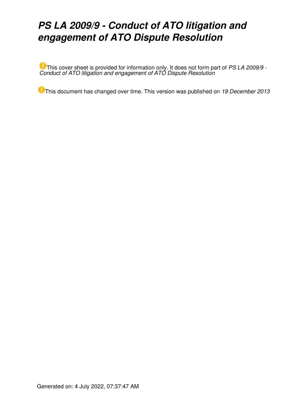# *PS LA 2009/9 - Conduct of ATO litigation and engagement of ATO Dispute Resolution*

This cover sheet is provided for information only. It does not form part of *PS LA 2009/9 - Conduct of ATO litigation and engagement of ATO Dispute Resolution*

This document has changed over time. This version was published on *19 December 2013*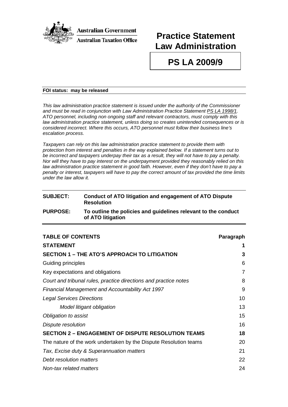

## **Practice Statement Law Administration**

**PS LA 2009/9**

#### **FOI status: may be released**

*This law administration practice statement is issued under the authority of the Commissioner and must be read in conjunction with Law Administration Practice Statement PS LA [1998/1.](http://law.ato.gov.au/view.htm?DocID=PSR/PS19981/NAT/ATO/00001) ATO personnel, including non ongoing staff and relevant contractors, must comply with this law administration practice statement, unless doing so creates unintended consequences or is considered incorrect. Where this occurs, ATO personnel must follow their business line's escalation process.*

*Taxpayers can rely on this law administration practice statement to provide them with protection from interest and penalties in the way explained below. If a statement turns out to be incorrect and taxpayers underpay their tax as a result, they will not have to pay a penalty. Nor will they have to pay interest on the underpayment provided they reasonably relied on this law administration practice statement in good faith. However, even if they don't have to pay a penalty or interest, taxpayers will have to pay the correct amount of tax provided the time limits under the law allow it.*

## **SUBJECT: Conduct of ATO litigation and engagement of ATO Dispute Resolution**

#### **PURPOSE: To outline the policies and guidelines relevant to the conduct of ATO litigation**

| <b>TABLE OF CONTENTS</b>                                          | Paragraph      |
|-------------------------------------------------------------------|----------------|
| <b>STATEMENT</b>                                                  | 1              |
| <b>SECTION 1 – THE ATO'S APPROACH TO LITIGATION</b>               | 3              |
| Guiding principles                                                | 6              |
| Key expectations and obligations                                  | $\overline{7}$ |
| Court and tribunal rules, practice directions and practice notes  | 8              |
| <b>Financial Management and Accountability Act 1997</b>           | 9              |
| <b>Legal Services Directions</b>                                  | 10             |
| Model litigant obligation                                         | 13             |
| Obligation to assist                                              | 15             |
| Dispute resolution                                                | 16             |
| <b>SECTION 2 - ENGAGEMENT OF DISPUTE RESOLUTION TEAMS</b>         | 18             |
| The nature of the work undertaken by the Dispute Resolution teams | 20             |
| Tax, Excise duty & Superannuation matters                         | 21             |
| Debt resolution matters                                           | 22             |
| Non-tax related matters                                           | 24             |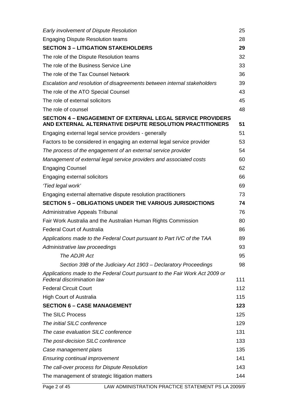| Early involvement of Dispute Resolution                                                                                        | 25  |
|--------------------------------------------------------------------------------------------------------------------------------|-----|
| <b>Engaging Dispute Resolution teams</b>                                                                                       | 28  |
| <b>SECTION 3 - LITIGATION STAKEHOLDERS</b>                                                                                     | 29  |
| The role of the Dispute Resolution teams                                                                                       | 32  |
| The role of the Business Service Line                                                                                          | 33  |
| The role of the Tax Counsel Network                                                                                            | 36  |
| Escalation and resolution of disagreements between internal stakeholders                                                       | 39  |
| The role of the ATO Special Counsel                                                                                            | 43  |
| The role of external solicitors                                                                                                | 45  |
| The role of counsel                                                                                                            | 48  |
| <b>SECTION 4 - ENGAGEMENT OF EXTERNAL LEGAL SERVICE PROVIDERS</b><br>AND EXTERNAL ALTERNATIVE DISPUTE RESOLUTION PRACTITIONERS | 51  |
| Engaging external legal service providers - generally                                                                          | 51  |
| Factors to be considered in engaging an external legal service provider                                                        | 53  |
| The process of the engagement of an external service provider                                                                  | 54  |
| Management of external legal service providers and associated costs                                                            | 60  |
| <b>Engaging Counsel</b>                                                                                                        | 62  |
| Engaging external solicitors                                                                                                   | 66  |
| 'Tied legal work'                                                                                                              | 69  |
| Engaging external alternative dispute resolution practitioners                                                                 | 73  |
| <b>SECTION 5 - OBLIGATIONS UNDER THE VARIOUS JURISDICTIONS</b>                                                                 | 74  |
| Administrative Appeals Tribunal                                                                                                | 76  |
| Fair Work Australia and the Australian Human Rights Commission                                                                 | 80  |
| <b>Federal Court of Australia</b>                                                                                              | 86  |
| Applications made to the Federal Court pursuant to Part IVC of the TAA                                                         | 89  |
| Administrative law proceedings                                                                                                 | 93  |
| The ADJR Act                                                                                                                   | 95  |
| Section 39B of the Judiciary Act 1903 – Declaratory Proceedings                                                                | 98  |
| Applications made to the Federal Court pursuant to the Fair Work Act 2009 or                                                   |     |
| Federal discrimination law                                                                                                     | 111 |
| <b>Federal Circuit Court</b>                                                                                                   | 112 |
| <b>High Court of Australia</b>                                                                                                 | 115 |
| <b>SECTION 6 - CASE MANAGEMENT</b>                                                                                             | 123 |
| <b>The SILC Process</b>                                                                                                        | 125 |
| The initial SILC conference                                                                                                    | 129 |
| The case evaluation SILC conference                                                                                            | 131 |
| The post-decision SILC conference                                                                                              | 133 |
| Case management plans                                                                                                          | 135 |
| <b>Ensuring continual improvement</b>                                                                                          | 141 |
| The call-over process for Dispute Resolution                                                                                   | 143 |
| The management of strategic litigation matters                                                                                 | 144 |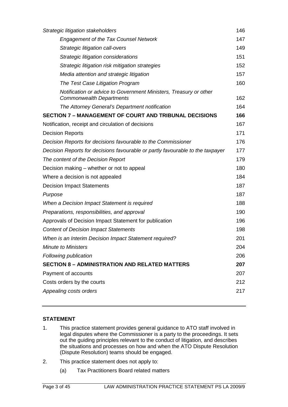| Strategic litigation stakeholders                                                                    | 146 |
|------------------------------------------------------------------------------------------------------|-----|
| <b>Engagement of the Tax Counsel Network</b>                                                         | 147 |
| Strategic litigation call-overs                                                                      | 149 |
| Strategic litigation considerations                                                                  | 151 |
| Strategic litigation risk mitigation strategies                                                      | 152 |
| Media attention and strategic litigation                                                             | 157 |
| The Test Case Litigation Program                                                                     | 160 |
| Notification or advice to Government Ministers, Treasury or other<br><b>Commonwealth Departments</b> | 162 |
| The Attorney General's Department notification                                                       | 164 |
| <b>SECTION 7 - MANAGEMENT OF COURT AND TRIBUNAL DECISIONS</b>                                        | 166 |
| Notification, receipt and circulation of decisions                                                   | 167 |
| <b>Decision Reports</b>                                                                              | 171 |
| Decision Reports for decisions favourable to the Commissioner                                        | 176 |
| Decision Reports for decisions favourable or partly favourable to the taxpayer                       | 177 |
| The content of the Decision Report                                                                   | 179 |
| Decision making – whether or not to appeal                                                           | 180 |
| Where a decision is not appealed                                                                     | 184 |
| <b>Decision Impact Statements</b>                                                                    | 187 |
| Purpose                                                                                              | 187 |
| When a Decision Impact Statement is required                                                         | 188 |
| Preparations, responsibilities, and approval                                                         | 190 |
| Approvals of Decision Impact Statement for publication                                               | 196 |
| <b>Content of Decision Impact Statements</b>                                                         | 198 |
| When is an Interim Decision Impact Statement required?                                               | 201 |
| <b>Minute to Ministers</b>                                                                           | 204 |
| Following publication                                                                                | 206 |
| <b>SECTION 8 - ADMINISTRATION AND RELATED MATTERS</b>                                                | 207 |
| Payment of accounts                                                                                  | 207 |
| Costs orders by the courts                                                                           | 212 |
| Appealing costs orders                                                                               | 217 |
|                                                                                                      |     |

## **STATEMENT**

- 1. This practice statement provides general guidance to ATO staff involved in legal disputes where the Commissioner is a party to the proceedings. It sets out the guiding principles relevant to the conduct of litigation, and describes the situations and processes on how and when the ATO Dispute Resolution (Dispute Resolution) teams should be engaged.
- 2. This practice statement does not apply to:
	- (a) Tax Practitioners Board related matters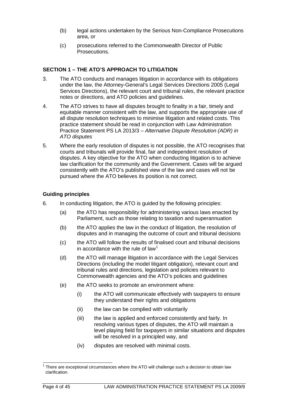- (b) legal actions undertaken by the Serious Non-Compliance Prosecutions area, or
- (c) prosecutions referred to the Commonwealth Director of Public Prosecutions.

## **SECTION 1 – THE ATO'S APPROACH TO LITIGATION**

- 3. The ATO conducts and manages litigation in accordance with its obligations under the law, the Attorney-General's Legal Services Directions 2005 (Legal Services Directions), the relevant court and tribunal rules, the relevant practice notes or directions, and ATO policies and guidelines.
- 4. The ATO strives to have all disputes brought to finality in a fair, timely and equitable manner consistent with the law, and supports the appropriate use of all dispute resolution techniques to minimise litigation and related costs. This practice statement should be read in conjunction with Law Administration Practice Statement PS LA 2013/3 – *Alternative Dispute Resolution (ADR) in ATO disputes*
- 5. Where the early resolution of disputes is not possible, the ATO recognises that courts and tribunals will provide final, fair and independent resolution of disputes. A key objective for the ATO when conducting litigation is to achieve law clarification for the community and the Government. Cases will be argued consistently with the ATO's published view of the law and cases will not be pursued where the ATO believes its position is not correct.

## **Guiding principles**

- 6. In conducting litigation, the ATO is guided by the following principles:
	- (a) the ATO has responsibility for administering various laws enacted by Parliament, such as those relating to taxation and superannuation
	- (b) the ATO applies the law in the conduct of litigation, the resolution of disputes and in managing the outcome of court and tribunal decisions
	- (c) the ATO will follow the results of finalised court and tribunal decisions in accordance with the rule of law<sup>[1](#page-4-0)</sup>
	- (d) the ATO will manage litigation in accordance with the Legal Services Directions (including the model litigant obligation), relevant court and tribunal rules and directions, legislation and policies relevant to Commonwealth agencies and the ATO's policies and guidelines
	- (e) the ATO seeks to promote an environment where:
		- (i) the ATO will communicate effectively with taxpayers to ensure they understand their rights and obligations
		- (ii) the law can be complied with voluntarily
		- (iii) the law is applied and enforced consistently and fairly. In resolving various types of disputes, the ATO will maintain a level playing field for taxpayers in similar situations and disputes will be resolved in a principled way, and
		- (iv) disputes are resolved with minimal costs.

<span id="page-4-0"></span>There are exceptional circumstances where the ATO will challenge such a decision to obtain law clarification.  $\overline{\phantom{a}}$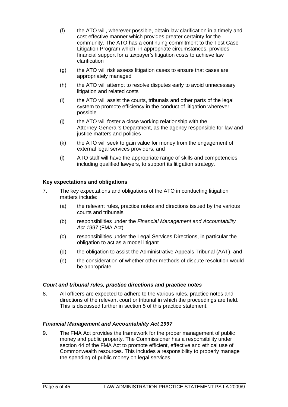- (f) the ATO will, wherever possible, obtain law clarification in a timely and cost effective manner which provides greater certainty for the community. The ATO has a continuing commitment to the Test Case Litigation Program which, in appropriate circumstances, provides financial support for a taxpayer's litigation costs to achieve law clarification
- (g) the ATO will risk assess litigation cases to ensure that cases are appropriately managed
- (h) the ATO will attempt to resolve disputes early to avoid unnecessary litigation and related costs
- (i) the ATO will assist the courts, tribunals and other parts of the legal system to promote efficiency in the conduct of litigation wherever possible
- (j) the ATO will foster a close working relationship with the Attorney-General's Department, as the agency responsible for law and justice matters and policies
- (k) the ATO will seek to gain value for money from the engagement of external legal services providers, and
- (l) ATO staff will have the appropriate range of skills and competencies, including qualified lawyers, to support its litigation strategy.

### **Key expectations and obligations**

- 7. The key expectations and obligations of the ATO in conducting litigation matters include:
	- (a) the relevant rules, practice notes and directions issued by the various courts and tribunals
	- (b) responsibilities under the *Financial Management and Accountability Act 1997* (FMA Act)
	- (c) responsibilities under the Legal Services Directions, in particular the obligation to act as a model litigant
	- (d) the obligation to assist the Administrative Appeals Tribunal (AAT), and
	- (e) the consideration of whether other methods of dispute resolution would be appropriate.

#### *Court and tribunal rules, practice directions and practice notes*

8. All officers are expected to adhere to the various rules, practice notes and directions of the relevant court or tribunal in which the proceedings are held. This is discussed further in section 5 of this practice statement.

#### *Financial Management and Accountability Act 1997*

9. The FMA Act provides the framework for the proper management of public money and public property. The Commissioner has a responsibility under section 44 of the FMA Act to promote efficient, effective and ethical use of Commonwealth resources. This includes a responsibility to properly manage the spending of public money on legal services.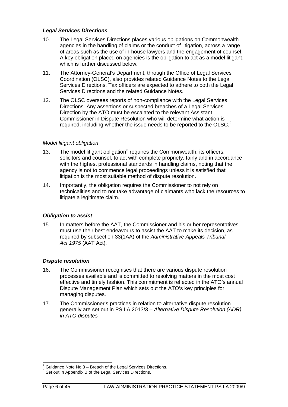## *Legal Services Directions*

- 10. The Legal Services Directions places various obligations on Commonwealth agencies in the handling of claims or the conduct of litigation, across a range of areas such as the use of in-house lawyers and the engagement of counsel. A key obligation placed on agencies is the obligation to act as a model litigant, which is further discussed below.
- 11. The Attorney-General's Department, through the Office of Legal Services Coordination (OLSC), also provides related Guidance Notes to the Legal Services Directions. Tax officers are expected to adhere to both the Legal Services Directions and the related Guidance Notes.
- 12. The OLSC oversees reports of non-compliance with the Legal Services Directions. Any assertions or suspected breaches of a Legal Services Direction by the ATO must be escalated to the relevant Assistant Commissioner in Dispute Resolution who will determine what action is required, including whether the issue needs to be reported to the OLSC.<sup>[2](#page-6-0)</sup>

## *Model litigant obligation*

- 1[3](#page-6-1). The model litigant obligation<sup>3</sup> requires the Commonwealth, its officers, solicitors and counsel, to act with complete propriety, fairly and in accordance with the highest professional standards in handling claims, noting that the agency is not to commence legal proceedings unless it is satisfied that litigation is the most suitable method of dispute resolution.
- 14. Importantly, the obligation requires the Commissioner to not rely on technicalities and to not take advantage of claimants who lack the resources to litigate a legitimate claim.

#### *Obligation to assist*

15. In matters before the AAT, the Commissioner and his or her representatives must use their best endeavours to assist the AAT to make its decision, as required by subsection 33(1AA) of the *Administrative Appeals Tribunal Act 1975* (AAT Act).

## *Dispute resolution*

- 16. The Commissioner recognises that there are various dispute resolution processes available and is committed to resolving matters in the most cost effective and timely fashion. This commitment is reflected in the ATO's annual Dispute Management Plan which sets out the ATO's key principles for managing disputes.
- 17. The Commissioner's practices in relation to alternative dispute resolution generally are set out in PS LA 2013/3 – *Alternative Dispute Resolution (ADR) in ATO disputes*

 $^2$  Guidance Note No 3 – Breach of the Legal Services Directions.<br> $^3$  Set out in Appendix B of the Legal Services Directions.  $\overline{a}$ 

<span id="page-6-1"></span><span id="page-6-0"></span>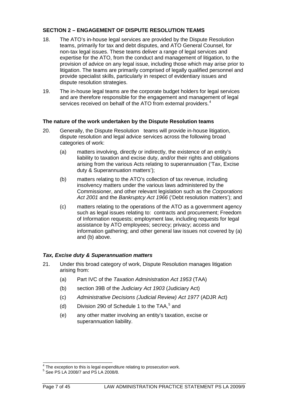## **SECTION 2 – ENGAGEMENT OF DISPUTE RESOLUTION TEAMS**

- 18. The ATO's in-house legal services are provided by the Dispute Resolution teams, primarily for tax and debt disputes, and ATO General Counsel, for non-tax legal issues. These teams deliver a range of legal services and expertise for the ATO, from the conduct and management of litigation, to the provision of advice on any legal issue, including those which may arise prior to litigation. The teams are primarily comprised of legally qualified personnel and provide specialist skills, particularly in respect of evidentiary issues and dispute resolution strategies.
- 19. The in-house legal teams are the corporate budget holders for legal services and are therefore responsible for the engagement and management of legal services received on behalf of the ATO from external providers.<sup>[4](#page-7-0)</sup>

#### **The nature of the work undertaken by the Dispute Resolution teams**

- 20. Generally, the Dispute Resolution teams will provide in-house litigation, dispute resolution and legal advice services across the following broad categories of work:
	- (a) matters involving, directly or indirectly, the existence of an entity's liability to taxation and excise duty, and/or their rights and obligations arising from the various Acts relating to superannuation ('Tax, Excise duty & Superannuation matters');
	- (b) matters relating to the ATO's collection of tax revenue, including insolvency matters under the various laws administered by the Commissioner, and other relevant legislation such as the *Corporations Act 2001* and the *Bankruptcy Act 1966* ('Debt resolution matters'); and
	- (c) matters relating to the operations of the ATO as a government agency such as legal issues relating to: contracts and procurement; Freedom of Information requests; employment law, including requests for legal assistance by ATO employees; secrecy; privacy; access and information gathering; and other general law issues not covered by (a) and (b) above.

## *Tax, Excise duty & Superannuation matters*

- 21. Under this broad category of work, Dispute Resolution manages litigation arising from:
	- (a) Part IVC of the *Taxation Administration Act 1953* (TAA)
	- (b) section 39B of the *Judiciary Act 1903* (Judiciary Act)
	- (c) *Administrative Decisions (Judicial Review) Act 1977* (ADJR Act)
	- (d) Division 290 of Schedule 1 to the TAA, [5](#page-7-1) and
	- (e) any other matter involving an entity's taxation, excise or superannuation liability.

 $^4$  The exception to this is legal expenditure relating to prosecution work.<br><sup>5</sup> See PS LA 2008/7 and PS LA 2008/8.  $\overline{\phantom{a}}$ 

<span id="page-7-1"></span><span id="page-7-0"></span>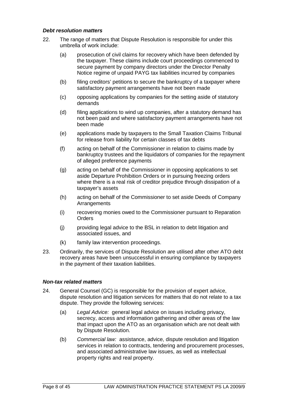#### *Debt resolution matters*

- 22. The range of matters that Dispute Resolution is responsible for under this umbrella of work include:
	- (a) prosecution of civil claims for recovery which have been defended by the taxpayer. These claims include court proceedings commenced to secure payment by company directors under the Director Penalty Notice regime of unpaid PAYG tax liabilities incurred by companies
	- (b) filing creditors' petitions to secure the bankruptcy of a taxpayer where satisfactory payment arrangements have not been made
	- (c) opposing applications by companies for the setting aside of statutory demands
	- (d) filing applications to wind up companies, after a statutory demand has not been paid and where satisfactory payment arrangements have not been made
	- (e) applications made by taxpayers to the Small Taxation Claims Tribunal for release from liability for certain classes of tax debts
	- (f) acting on behalf of the Commissioner in relation to claims made by bankruptcy trustees and the liquidators of companies for the repayment of alleged preference payments
	- (g) acting on behalf of the Commissioner in opposing applications to set aside Departure Prohibition Orders or in pursuing freezing orders where there is a real risk of creditor prejudice through dissipation of a taxpayer's assets
	- (h) acting on behalf of the Commissioner to set aside Deeds of Company **Arrangements**
	- (i) recovering monies owed to the Commissioner pursuant to Reparation **Orders**
	- (j) providing legal advice to the BSL in relation to debt litigation and associated issues, and
	- (k) family law intervention proceedings.
- 23. Ordinarily, the services of Dispute Resolution are utilised after other ATO debt recovery areas have been unsuccessful in ensuring compliance by taxpayers in the payment of their taxation liabilities.

#### *Non-tax related matters*

- 24. General Counsel (GC) is responsible for the provision of expert advice, dispute resolution and litigation services for matters that do not relate to a tax dispute. They provide the following services:
	- (a) *Legal Advice:* general legal advice on issues including privacy, secrecy, access and information gathering and other areas of the law that impact upon the ATO as an organisation which are not dealt with by Dispute Resolution.
	- (b) *Commercial law:* assistance, advice, dispute resolution and litigation services in relation to contracts, tendering and procurement processes, and associated administrative law issues, as well as intellectual property rights and real property.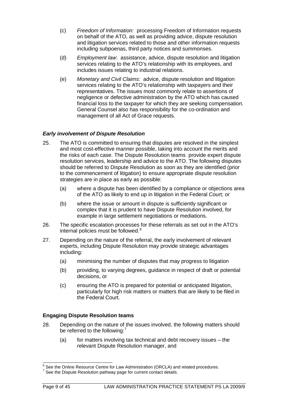- (c) *Freedom of Information:* processing Freedom of Information requests on behalf of the ATO, as well as providing advice, dispute resolution and litigation services related to those and other information requests including subpoenas, third party notices and summonses.
- (d) *Employment law*: assistance, advice, dispute resolution and litigation services relating to the ATO's relationship with its employees, and includes issues relating to industrial relations.
- (e) *Monetary and Civil Claims:* advice, dispute resolution and litigation services relating to the ATO's relationship with taxpayers and their representatives. The issues most commonly relate to assertions of negligence or defective administration by the ATO which has caused financial loss to the taxpayer for which they are seeking compensation. General Counsel also has responsibility for the co-ordination and management of all Act of Grace requests.

## *Early involvement of Dispute Resolution*

- 25. The ATO is committed to ensuring that disputes are resolved in the simplest and most cost-effective manner possible, taking into account the merits and the risks of each case. The Dispute Resolution teams provide expert dispute resolution services, leadership and advice to the ATO. The following disputes should be referred to Dispute Resolution as soon as they are identified (prior to the commencement of litigation) to ensure appropriate dispute resolution strategies are in place as early as possible:
	- (a) where a dispute has been identified by a compliance or objections area of the ATO as likely to end up in litigation in the Federal Court; or
	- (b) where the issue or amount in dispute is sufficiently significant or complex that it is prudent to have Dispute Resolution involved, for example in large settlement negotiations or mediations.
- 26. The specific escalation processes for these referrals as set out in the ATO's internal policies must be followed. [6](#page-9-0)
- 27. Depending on the nature of the referral, the early involvement of relevant experts, including Dispute Resolution may provide strategic advantages including:
	- (a) minimising the number of disputes that may progress to litigation
	- (b) providing, to varying degrees, guidance in respect of draft or potential decisions, or
	- (c) ensuring the ATO is prepared for potential or anticipated litigation, particularly for high risk matters or matters that are likely to be filed in the Federal Court.

## **Engaging Dispute Resolution teams**

- 28. Depending on the nature of the issues involved, the following matters should be referred to the following:<sup>[7](#page-9-1)</sup>
	- (a) for matters involving tax technical and debt recovery issues the relevant Dispute Resolution manager, and

 $^6$  See the Online Resource Centre for Law Administration (ORCLA) and related procedures.<br><sup>7</sup> See the Dispute Resolution pathway page for current contact details.  $\overline{a}$ 

<span id="page-9-1"></span><span id="page-9-0"></span>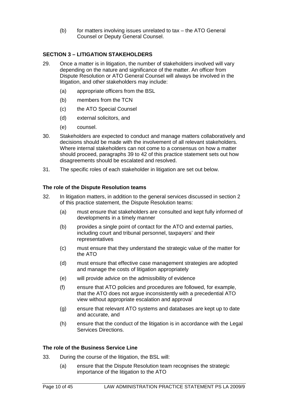$(b)$  for matters involving issues unrelated to tax  $-$  the ATO General Counsel or Deputy General Counsel.

## **SECTION 3 – LITIGATION STAKEHOLDERS**

- 29. Once a matter is in litigation, the number of stakeholders involved will vary depending on the nature and significance of the matter. An officer from Dispute Resolution or ATO General Counsel will always be involved in the litigation, and other stakeholders may include:
	- (a) appropriate officers from the BSL
	- (b) members from the TCN
	- (c) the ATO Special Counsel
	- (d) external solicitors, and
	- (e) counsel.
- 30. Stakeholders are expected to conduct and manage matters collaboratively and decisions should be made with the involvement of all relevant stakeholders. Where internal stakeholders can not come to a consensus on how a matter should proceed, paragraphs 39 to 42 of this practice statement sets out how disagreements should be escalated and resolved.
- 31. The specific roles of each stakeholder in litigation are set out below.

## **The role of the Dispute Resolution teams**

- 32. In litigation matters, in addition to the general services discussed in section 2 of this practice statement, the Dispute Resolution teams:
	- (a) must ensure that stakeholders are consulted and kept fully informed of developments in a timely manner
	- (b) provides a single point of contact for the ATO and external parties, including court and tribunal personnel, taxpayers' and their representatives
	- (c) must ensure that they understand the strategic value of the matter for the ATO
	- (d) must ensure that effective case management strategies are adopted and manage the costs of litigation appropriately
	- (e) will provide advice on the admissibility of evidence
	- (f) ensure that ATO policies and procedures are followed, for example, that the ATO does not argue inconsistently with a precedential ATO view without appropriate escalation and approval
	- (g) ensure that relevant ATO systems and databases are kept up to date and accurate, and
	- (h) ensure that the conduct of the litigation is in accordance with the Legal Services Directions.

#### **The role of the Business Service Line**

- 33. During the course of the litigation, the BSL will:
	- (a) ensure that the Dispute Resolution team recognises the strategic importance of the litigation to the ATO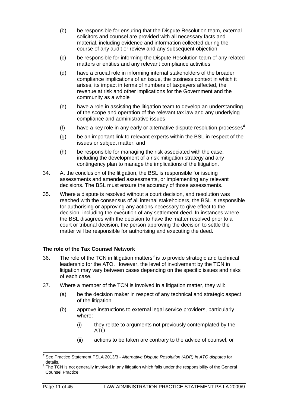- (b) be responsible for ensuring that the Dispute Resolution team, external solicitors and counsel are provided with all necessary facts and material, including evidence and information collected during the course of any audit or review and any subsequent objection
- (c) be responsible for informing the Dispute Resolution team of any related matters or entities and any relevant compliance activities
- (d) have a crucial role in informing internal stakeholders of the broader compliance implications of an issue, the business context in which it arises, its impact in terms of numbers of taxpayers affected, the revenue at risk and other implications for the Government and the community as a whole
- (e) have a role in assisting the litigation team to develop an understanding of the scope and operation of the relevant tax law and any underlying compliance and administrative issues
- (f) have a key role in any early or alternative dispute resolution processes*[8](#page-11-0)*
- (g) be an important link to relevant experts within the BSL in respect of the issues or subject matter, and
- (h) be responsible for managing the risk associated with the case, including the development of a risk mitigation strategy and any contingency plan to manage the implications of the litigation.
- 34. At the conclusion of the litigation, the BSL is responsible for issuing assessments and amended assessments, or implementing any relevant decisions. The BSL must ensure the accuracy of those assessments.
- 35. Where a dispute is resolved without a court decision, and resolution was reached with the consensus of all internal stakeholders, the BSL is responsible for authorising or approving any actions necessary to give effect to the decision, including the execution of any settlement deed. In instances where the BSL disagrees with the decision to have the matter resolved prior to a court or tribunal decision, the person approving the decision to settle the matter will be responsible for authorising and executing the deed.

## **The role of the Tax Counsel Network**

- 36. The role of the TCN in litigation matters<sup>[9](#page-11-1)</sup> is to provide strategic and technical leadership for the ATO. However, the level of involvement by the TCN in litigation may vary between cases depending on the specific issues and risks of each case.
- 37. Where a member of the TCN is involved in a litigation matter, they will:
	- (a) be the decision maker in respect of any technical and strategic aspect of the litigation
	- (b) approve instructions to external legal service providers, particularly where:
		- (i) they relate to arguments not previously contemplated by the ATO
		- (ii) actions to be taken are contrary to the advice of counsel, or

<span id="page-11-0"></span>*<sup>8</sup>* See Practice Statement PSLA 2013/3 - *Alternative Dispute Resolution (ADR) in ATO disputes* for details.  $\overline{a}$ 

<span id="page-11-1"></span><sup>9</sup> The TCN is not generally involved in any litigation which falls under the responsibility of the General Counsel Practice.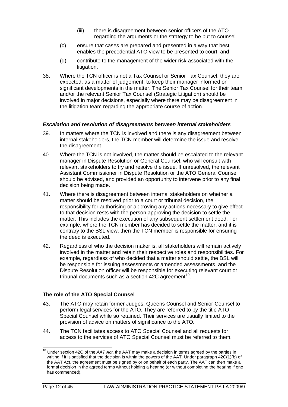- (iii) there is disagreement between senior officers of the ATO regarding the arguments or the strategy to be put to counsel
- (c) ensure that cases are prepared and presented in a way that best enables the precedential ATO view to be presented to court, and
- (d) contribute to the management of the wider risk associated with the litigation.
- 38. Where the TCN officer is not a Tax Counsel or Senior Tax Counsel, they are expected, as a matter of judgement, to keep their manager informed on significant developments in the matter. The Senior Tax Counsel for their team and/or the relevant Senior Tax Counsel (Strategic Litigation) should be involved in major decisions, especially where there may be disagreement in the litigation team regarding the appropriate course of action.

#### *Escalation and resolution of disagreements between internal stakeholders*

- 39. In matters where the TCN is involved and there is any disagreement between internal stakeholders, the TCN member will determine the issue and resolve the disagreement.
- 40. Where the TCN is not involved, the matter should be escalated to the relevant manager in Dispute Resolution or General Counsel, who will consult with relevant stakeholders to try and resolve the issue. If unresolved, the relevant Assistant Commissioner in Dispute Resolution or the ATO General Counsel should be advised, and provided an opportunity to intervene prior to any final decision being made.
- 41. Where there is disagreement between internal stakeholders on whether a matter should be resolved prior to a court or tribunal decision, the responsibility for authorising or approving any actions necessary to give effect to that decision rests with the person approving the decision to settle the matter. This includes the execution of any subsequent settlement deed. For example, where the TCN member has decided to settle the matter, and it is contrary to the BSL view, then the TCN member is responsible for ensuring the deed is executed.
- 42. Regardless of who the decision maker is, all stakeholders will remain actively involved in the matter and retain their respective roles and responsibilities. For example, regardless of who decided that a matter should settle, the BSL will be responsible for issuing assessments or amended assessments, and the Dispute Resolution officer will be responsible for executing relevant court or tribunal documents such as a section  $42C$  agreement<sup>10</sup>.

## **The role of the ATO Special Counsel**

- 43. The ATO may retain former Judges, Queens Counsel and Senior Counsel to perform legal services for the ATO. They are referred to by the title ATO Special Counsel while so retained. Their services are usually limited to the provision of advice on matters of significance to the ATO.
- 44. The TCN facilitates access to ATO Special Counsel and all requests for access to the services of ATO Special Counsel must be referred to them.

<span id="page-12-0"></span><sup>10</sup> Under section 42C of the *AAT Act*, the AAT may make a decision in terms agreed by the parties in writing if it is satisfied that the decision is within the powers of the AAT. Under paragraph 42C(1)(b) of the AAT Act, the agreement must be signed by or on behalf of each party. The AAT can then make a formal decision in the agreed terms without holding a hearing (or without completing the hearing if one has commenced).  $\overline{\phantom{a}}$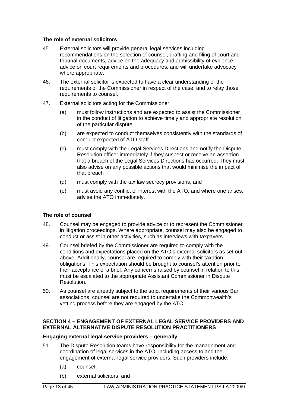#### **The role of external solicitors**

- 45. External solicitors will provide general legal services including recommendations on the selection of counsel, drafting and filing of court and tribunal documents, advice on the adequacy and admissibility of evidence, advice on court requirements and procedures, and will undertake advocacy where appropriate.
- 46. The external solicitor is expected to have a clear understanding of the requirements of the Commissioner in respect of the case, and to relay those requirements to counsel.
- 47. External solicitors acting for the Commissioner:
	- (a) must follow instructions and are expected to assist the Commissioner in the conduct of litigation to achieve timely and appropriate resolution of the particular dispute
	- (b) are expected to conduct themselves consistently with the standards of conduct expected of ATO staff
	- (c) must comply with the Legal Services Directions and notify the Dispute Resolution officer immediately if they suspect or receive an assertion that a breach of the Legal Services Directions has occurred. They must also advise on any possible actions that would minimise the impact of that breach
	- (d) must comply with the tax law secrecy provisions, and
	- (e) must avoid any conflict of interest with the ATO, and where one arises, advise the ATO immediately.

## **The role of counsel**

- 48. Counsel may be engaged to provide advice or to represent the Commissioner in litigation proceedings. Where appropriate, counsel may also be engaged to conduct or assist in other activities, such as interviews with taxpayers.
- 49. Counsel briefed by the Commissioner are required to comply with the conditions and expectations placed on the ATO's external solicitors as set out above. Additionally, counsel are required to comply with their taxation obligations. This expectation should be brought to counsel's attention prior to their acceptance of a brief. Any concerns raised by counsel in relation to this must be escalated to the appropriate Assistant Commissioner in Dispute Resolution.
- 50. As counsel are already subject to the strict requirements of their various Bar associations, counsel are not required to undertake the Commonwealth's vetting process before they are engaged by the ATO.

### **SECTION 4 – ENGAGEMENT OF EXTERNAL LEGAL SERVICE PROVIDERS AND EXTERNAL ALTERNATIVE DISPUTE RESOLUTION PRACTITIONERS**

## **Engaging external legal service providers – generally**

- 51. The Dispute Resolution teams have responsibility for the management and coordination of legal services in the ATO, including access to and the engagement of external legal service providers. Such providers include:
	- (a) counsel
	- (b) external solicitors, and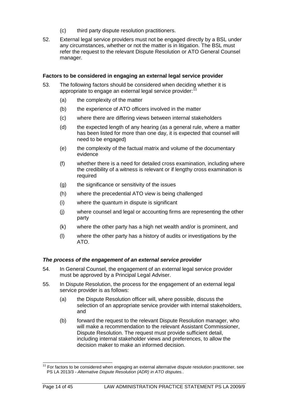- (c) third party dispute resolution practitioners.
- 52. External legal service providers must not be engaged directly by a BSL under any circumstances, whether or not the matter is in litigation. The BSL must refer the request to the relevant Dispute Resolution or ATO General Counsel manager.

#### **Factors to be considered in engaging an external legal service provider**

- 53. The following factors should be considered when deciding whether it is appropriate to engage an external legal service provider:<sup>[11](#page-14-0)</sup>
	- (a) the complexity of the matter
	- (b) the experience of ATO officers involved in the matter
	- (c) where there are differing views between internal stakeholders
	- (d) the expected length of any hearing (as a general rule, where a matter has been listed for more than one day, it is expected that counsel will need to be engaged)
	- (e) the complexity of the factual matrix and volume of the documentary evidence
	- (f) whether there is a need for detailed cross examination, including where the credibility of a witness is relevant or if lengthy cross examination is required
	- (g) the significance or sensitivity of the issues
	- (h) where the precedential ATO view is being challenged
	- (i) where the quantum in dispute is significant
	- (j) where counsel and legal or accounting firms are representing the other party
	- (k) where the other party has a high net wealth and/or is prominent, and
	- (l) where the other party has a history of audits or investigations by the ATO.

## *The process of the engagement of an external service provider*

- 54. In General Counsel, the engagement of an external legal service provider must be approved by a Principal Legal Adviser.
- 55. In Dispute Resolution, the process for the engagement of an external legal service provider is as follows:
	- (a) the Dispute Resolution officer will, where possible, discuss the selection of an appropriate service provider with internal stakeholders, and
	- (b) forward the request to the relevant Dispute Resolution manager, who will make a recommendation to the relevant Assistant Commissioner, Dispute Resolution. The request must provide sufficient detail, including internal stakeholder views and preferences, to allow the decision maker to make an informed decision.

<span id="page-14-0"></span><sup>&</sup>lt;sup>11</sup> For factors to be considered when engaging an external alternative dispute resolution practitioner, see PS LA 2013/3 - *Alternative Dispute Resolution (ADR) in ATO disputes.*.  $\overline{\phantom{a}}$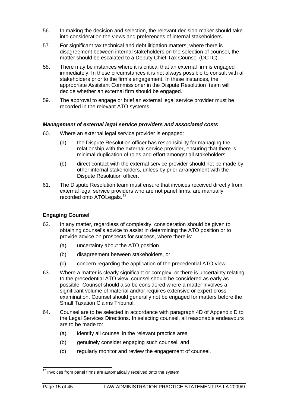- 56. In making the decision and selection, the relevant decision-maker should take into consideration the views and preferences of internal stakeholders.
- 57. For significant tax technical and debt litigation matters, where there is disagreement between internal stakeholders on the selection of counsel, the matter should be escalated to a Deputy Chief Tax Counsel (DCTC).
- 58. There may be instances where it is critical that an external firm is engaged immediately. In these circumstances it is not always possible to consult with all stakeholders prior to the firm's engagement. In these instances, the appropriate Assistant Commissioner in the Dispute Resolution team will decide whether an external firm should be engaged.
- 59. The approval to engage or brief an external legal service provider must be recorded in the relevant ATO systems.

## *Management of external legal service providers and associated costs*

- 60. Where an external legal service provider is engaged:
	- (a) the Dispute Resolution officer has responsibility for managing the relationship with the external service provider, ensuring that there is minimal duplication of roles and effort amongst all stakeholders.
	- (b) direct contact with the external service provider should not be made by other internal stakeholders, unless by prior arrangement with the Dispute Resolution officer.
- 61. The Dispute Resolution team must ensure that invoices received directly from external legal service providers who are not panel firms, are manually recorded onto ATOLegals.<sup>[12](#page-15-0)</sup>

## **Engaging Counsel**

- 62. In any matter, regardless of complexity, consideration should be given to obtaining counsel's advice to assist in determining the ATO position or to provide advice on prospects for success, where there is:
	- (a) uncertainty about the ATO position
	- (b) disagreement between stakeholders, or
	- (c) concern regarding the application of the precedential ATO view.
- 63. Where a matter is clearly significant or complex, or there is uncertainty relating to the precedential ATO view, counsel should be considered as early as possible. Counsel should also be considered where a matter involves a significant volume of material and/or requires extensive or expert cross examination. Counsel should generally not be engaged for matters before the Small Taxation Claims Tribunal.
- 64. Counsel are to be selected in accordance with paragraph 4D of Appendix D to the Legal Services Directions. In selecting counsel, all reasonable endeavours are to be made to:
	- (a) identify all counsel in the relevant practice area
	- (b) genuinely consider engaging such counsel, and
	- (c) regularly monitor and review the engagement of counsel.

<span id="page-15-0"></span> $12$  Invoices from panel firms are automatically received onto the system.  $\overline{\phantom{a}}$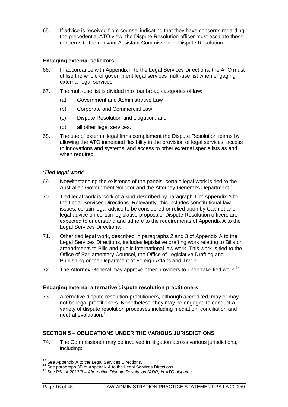65. If advice is received from counsel indicating that they have concerns regarding the precedential ATO view, the Dispute Resolution officer must escalate these concerns to the relevant Assistant Commissioner, Dispute Resolution.

## **Engaging external solicitors**

- 66. In accordance with Appendix F to the Legal Services Directions*,* the ATO must utilise the whole of government legal services multi-use list when engaging external legal services.
- 67. The multi-use list is divided into four broad categories of law:
	- (a) Government and Administrative Law
	- (b) Corporate and Commercial Law
	- (c) Dispute Resolution and Litigation, and
	- (d) all other legal services.
- 68. The use of external legal firms complement the Dispute Resolution teams by allowing the ATO increased flexibility in the provision of legal services, access to innovations and systems, and access to other external specialists as and when required.

### *'Tied legal work'*

- 69. Notwithstanding the existence of the panels, certain legal work is tied to the Australian Government Solicitor and the Attorney-General's Department.<sup>[13](#page-16-0)</sup>
- 70. Tied legal work is work of a kind described by paragraph 1 of Appendix A to the Legal Services Directions. Relevantly, this includes constitutional law issues, certain legal advice to be considered or relied upon by Cabinet and legal advice on certain legislative proposals. Dispute Resolution officers are expected to understand and adhere to the requirements of Appendix A to the Legal Services Directions.
- 71. Other tied legal work, described in paragraphs 2 and 3 of Appendix A to the Legal Services Directions, includes legislative drafting work relating to Bills or amendments to Bills and public international law work. This work is tied to the Office of Parliamentary Counsel, the Office of Legislative Drafting and Publishing or the Department of Foreign Affairs and Trade.
- 72. The Attorney-General may approve other providers to undertake tied work.<sup>[14](#page-16-1)</sup>

## **Engaging external alternative dispute resolution practitioners**

73. Alternative dispute resolution practitioners, although accredited, may or may not be legal practitioners. Nonetheless, they may be engaged to conduct a variety of dispute resolution processes including mediation, conciliation and neutral evaluation.[15](#page-16-2)

## **SECTION 5 – OBLIGATIONS UNDER THE VARIOUS JURISDICTIONS**

74. The Commissioner may be involved in litigation across various jurisdictions, including:

<span id="page-16-0"></span><sup>&</sup>lt;sup>13</sup> See Appendix A to the Legal Services Directions.

<span id="page-16-2"></span><span id="page-16-1"></span><sup>&</sup>lt;sup>14</sup> See paragraph 3B of Appendix A to the Legal Services Directions.<br><sup>15</sup> See PS LA 2013/3 – Alternative Dispute Resolution (ADR) in ATO disputes.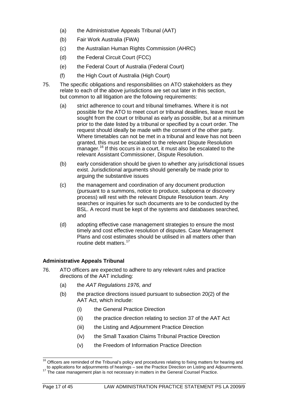- (a) the Administrative Appeals Tribunal (AAT)
- (b) Fair Work Australia (FWA)
- (c) the Australian Human Rights Commission (AHRC)
- (d) the Federal Circuit Court (FCC)
- (e) the Federal Court of Australia (Federal Court)
- (f) the High Court of Australia (High Court)
- 75. The specific obligations and responsibilities on ATO stakeholders as they relate to each of the above jurisdictions are set out later in this section, but common to all litigation are the following requirements:
	- (a) strict adherence to court and tribunal timeframes. Where it is not possible for the ATO to meet court or tribunal deadlines, leave must be sought from the court or tribunal as early as possible, but at a minimum prior to the date listed by a tribunal or specified by a court order. The request should ideally be made with the consent of the other party. Where timetables can not be met in a tribunal and leave has not been granted, this must be escalated to the relevant Dispute Resolution manager.<sup>[16](#page-17-0)</sup> If this occurs in a court, it must also be escalated to the relevant Assistant Commissioner, Dispute Resolution.
	- (b) early consideration should be given to whether any jurisdictional issues exist. Jurisdictional arguments should generally be made prior to arguing the substantive issues
	- (c) the management and coordination of any document production (pursuant to a summons, notice to produce, subpoena or discovery process) will rest with the relevant Dispute Resolution team. Any searches or inquiries for such documents are to be conducted by the BSL. A record must be kept of the systems and databases searched, and
	- (d) adopting effective case management strategies to ensure the most timely and cost effective resolution of disputes. Case Management Plans and cost estimates should be utilised in all matters other than routine debt matters.<sup>[17](#page-17-1)</sup>

## **Administrative Appeals Tribunal**

- 76. ATO officers are expected to adhere to any relevant rules and practice directions of the AAT including:
	- (a) the *AAT Regulations 1976, and*
	- (b) the practice directions issued pursuant to subsection 20(2) of the AAT Act, which include:
		- (i) the General Practice Direction
		- (ii) the practice direction relating to section 37 of the AAT Act
		- (iii) the Listing and Adjournment Practice Direction
		- (iv) the Small Taxation Claims Tribunal Practice Direction
		- (v) the Freedom of Information Practice Direction

<span id="page-17-0"></span><sup>&</sup>lt;sup>16</sup> Officers are reminded of the Tribunal's policy and procedures relating to fixing matters for hearing and to applications for adjournments of hearings – see the Practice Direction on Listing and Adjournments.<br><sup>17</sup> The case management plan is not necessary in matters in the General Counsel Practice.  $\overline{\phantom{a}}$ 

<span id="page-17-1"></span>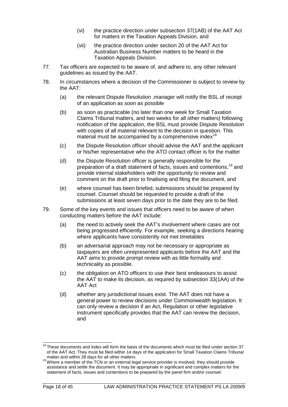- (vi) the practice direction under subsection 37(1AB) of the AAT Act for matters in the Taxation Appeals Division, and
- (vii) the practice direction under section 20 of the AAT Act for Australian Business Number matters to be heard in the Taxation Appeals Division.
- 77. Tax officers are expected to be aware of, and adhere to, any other relevant guidelines as issued by the AAT.
- 78. In circumstances where a decision of the Commissioner is subject to review by the AAT:
	- (a) the relevant Dispute Resolution ,manager will notify the BSL of receipt of an application as soon as possible
	- (b) as soon as practicable (no later than one week for Small Taxation Claims Tribunal matters, and two weeks for all other matters) following notification of the application, the BSL must provide Dispute Resolution with copies of all material relevant to the decision in question. This material must be accompanied by a comprehensive index<sup>[18](#page-18-0)</sup>
	- (c) the Dispute Resolution officer should advise the AAT and the applicant or his/her representative who the ATO contact officer is for the matter
	- (d) the Dispute Resolution officer is generally responsible for the preparation of a draft statement of facts, issues and contentions,<sup>19</sup> and provide internal stakeholders with the opportunity to review and comment on the draft prior to finalising and filing the document, and
	- (e) where counsel has been briefed, submissions should be prepared by counsel. Counsel should be requested to provide a draft of the submissions at least seven days prior to the date they are to be filed.
- 79. Some of the key events and issues that officers need to be aware of when conducting matters before the AAT include:
	- (a) the need to actively seek the AAT's involvement where cases are not being progressed efficiently. For example, seeking a directions hearing where applicants have consistently not met timetables
	- (b) an adversarial approach may not be necessary or appropriate as taxpayers are often unrepresented applicants before the AAT and the AAT aims to provide prompt review with as little formality and technicality as possible.
	- (c) the obligation on ATO officers to use their best endeavours to assist the AAT to make its decision, as required by subsection 33(1AA) of the AAT Act
	- (d) whether any jurisdictional issues exist. The AAT does not have a general power to review decisions under Commonwealth legislation. It can only review a decision if an Act, Regulation or other legislative instrument specifically provides that the AAT can review the decision, and

<span id="page-18-0"></span> $18$  These documents and index will form the basis of the documents which must be filed under section 37 of the AAT Act. They must be filed within 14 days of the application for Small Taxation Claims Tribunal matter and within 28 days for all other matters.  $\overline{\phantom{a}}$ 

<span id="page-18-1"></span><sup>&</sup>lt;sup>19</sup> Where a member of the TCN or an external legal service provider is involved, they should provide assistance and settle the document. It may be appropriate in significant and complex matters for the statement of facts, issues and contentions to be prepared by the panel firm and/or counsel.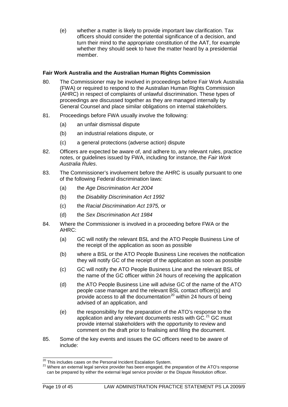(e) whether a matter is likely to provide important law clarification. Tax officers should consider the potential significance of a decision, and turn their mind to the appropriate constitution of the AAT, for example whether they should seek to have the matter heard by a presidential member.

## **Fair Work Australia and the Australian Human Rights Commission**

- 80. The Commissioner may be involved in proceedings before Fair Work Australia (FWA) or required to respond to the Australian Human Rights Commission (AHRC) in respect of complaints of unlawful discrimination. These types of proceedings are discussed together as they are managed internally by General Counsel and place similar obligations on internal stakeholders.
- 81. Proceedings before FWA usually involve the following:
	- (a) an unfair dismissal dispute
	- (b) an industrial relations dispute, or
	- (c) a general protections (adverse action) dispute
- 82. Officers are expected be aware of, and adhere to, any relevant rules, practice notes, or guidelines issued by FWA, including for instance, the *Fair Work Australia Rules*.
- 83. The Commissioner's involvement before the AHRC is usually pursuant to one of the following Federal discrimination laws:
	- (a) the *Age Discrimination Act 2004*
	- (b) the *Disability Discrimination Act 1992*
	- (c) the *Racial Discrimination Act 1975,* or
	- (d) the *Sex Discrimination Act 1984*
- 84. Where the Commissioner is involved in a proceeding before FWA or the AHRC:
	- (a) GC will notify the relevant BSL and the ATO People Business Line of the receipt of the application as soon as possible
	- (b) where a BSL or the ATO People Business Line receives the notification they will notify GC of the receipt of the application as soon as possible
	- (c) GC will notify the ATO People Business Line and the relevant BSL of the name of the GC officer within 24 hours of receiving the application
	- (d) the ATO People Business Line will advise GC of the name of the ATO people case manager and the relevant BSL contact officer(s) and provide access to all the documentation<sup>[20](#page-19-0)</sup> within 24 hours of being advised of an application, and
	- (e) the responsibility for the preparation of the ATO's response to the application and any relevant documents rests with  $GC.^{21}$  $GC.^{21}$  $GC.^{21}$  GC must provide internal stakeholders with the opportunity to review and comment on the draft prior to finalising and filing the document.
- 85. Some of the key events and issues the GC officers need to be aware of include:

<span id="page-19-0"></span><sup>&</sup>lt;sup>20</sup> This includes cases on the Personal Incident Escalation System.

<span id="page-19-1"></span><sup>&</sup>lt;sup>21</sup> Where an external legal service provider has been engaged, the preparation of the ATO's response can be prepared by either the external legal service provider or the Dispute Resolution officer.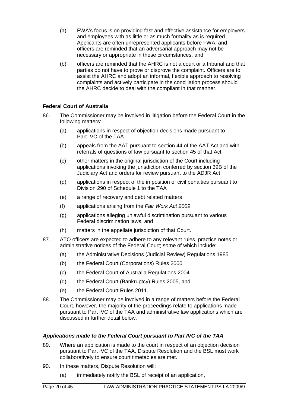- (a) FWA's focus is on providing fast and effective assistance for employers and employees with as little or as much formality as is required. Applicants are often unrepresented applicants before FWA, and officers are reminded that an adversarial approach may not be necessary or appropriate in these circumstances, and
- (b) officers are reminded that the AHRC is not a court or a tribunal and that parties do not have to prove or disprove the complaint. Officers are to assist the AHRC and adopt an informal, flexible approach to resolving complaints and actively participate in the conciliation process should the AHRC decide to deal with the compliant in that manner.

## **Federal Court of Australia**

- 86. The Commissioner may be involved in litigation before the Federal Court in the following matters:
	- (a) applications in respect of objection decisions made pursuant to Part IVC of the TAA
	- (b) appeals from the AAT pursuant to section 44 of the AAT Act and with referrals of questions of law pursuant to section 45 of that Act
	- (c) other matters in the original jurisdiction of the Court including applications invoking the jurisdiction conferred by section 39B of the Judiciary Act and orders for review pursuant to the ADJR Act
	- (d) applications in respect of the imposition of civil penalties pursuant to Division 290 of Schedule 1 to the TAA
	- (e) a range of recovery and debt related matters
	- (f) applications arising from the *Fair Work Act 2009*
	- (g) applications alleging unlawful discrimination pursuant to various Federal discrimination laws, and
	- (h) matters in the appellate jurisdiction of that Court.
- 87. ATO officers are expected to adhere to any relevant rules, practice notes or administrative notices of the Federal Court; some of which include:
	- (a) the Administrative Decisions (Judicial Review) Regulations 1985
	- (b) the Federal Court (Corporations) Rules 2000
	- (c) the Federal Court of Australia Regulations 2004
	- (d) the Federal Court (Bankruptcy) Rules 2005, and
	- (e) the Federal Court Rules 2011.
- 88. The Commissioner may be involved in a range of matters before the Federal Court, however, the majority of the proceedings relate to applications made pursuant to Part IVC of the TAA and administrative law applications which are discussed in further detail below.

## *Applications made to the Federal Court pursuant to Part IVC of the TAA*

- 89. Where an application is made to the court in respect of an objection decision pursuant to Part IVC of the TAA, Dispute Resolution and the BSL must work collaboratively to ensure court timetables are met.
- 90. In these matters, Dispute Resolution will:
	- (a) immediately notify the BSL of receipt of an application,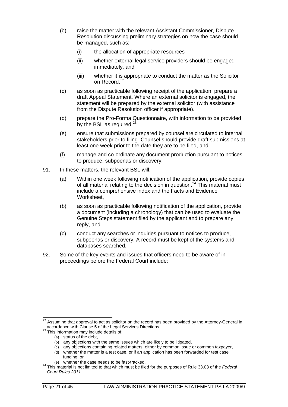- (b) raise the matter with the relevant Assistant Commissioner, Dispute Resolution discussing preliminary strategies on how the case should be managed, such as:
	- (i) the allocation of appropriate resources
	- (ii) whether external legal service providers should be engaged immediately, and
	- (iii) whether it is appropriate to conduct the matter as the Solicitor on Record.<sup>[22](#page-21-0)</sup>
- (c) as soon as practicable following receipt of the application, prepare a draft Appeal Statement. Where an external solicitor is engaged, the statement will be prepared by the external solicitor (with assistance from the Dispute Resolution officer if appropriate).
- (d) prepare the Pro-Forma Questionnaire, with information to be provided by the BSL as required, $^{23}$  $^{23}$  $^{23}$
- (e) ensure that submissions prepared by counsel are circulated to internal stakeholders prior to filing. Counsel should provide draft submissions at least one week prior to the date they are to be filed, and
- (f) manage and co-ordinate any document production pursuant to notices to produce, subpoenas or discovery.
- 91. In these matters, the relevant BSL will:
	- (a) Within one week following notification of the application, provide copies of all material relating to the decision in question.<sup>[24](#page-21-2)</sup> This material must include a comprehensive index and the Facts and Evidence Worksheet,
	- (b) as soon as practicable following notification of the application, provide a document (including a chronology) that can be used to evaluate the Genuine Steps statement filed by the applicant and to prepare any reply, and
	- (c) conduct any searches or inquiries pursuant to notices to produce, subpoenas or discovery. A record must be kept of the systems and databases searched.
- 92. Some of the key events and issues that officers need to be aware of in proceedings before the Federal Court include:

- - (a) status of the debt,
	- (b) any objections with the same issues which are likely to be litigated,
	- (c) any objections containing related matters, either by common issue or common taxpayer,
	- (d) whether the matter is a test case, or if an application has been forwarded for test case
	- funding, or<br>(e) whether the case needs to be fast-tracked.

<span id="page-21-1"></span><span id="page-21-0"></span> $22$  Assuming that approval to act as solicitor on the record has been provided by the Attorney-General in accordance with Clause 5 of the Legal Services Directions <sup>23</sup> This information may include details of:  $\overline{a}$ 

<span id="page-21-2"></span><sup>&</sup>lt;sup>24</sup> This material is not limited to that which must be filed for the purposes of Rule 33.03 of the *Federal Court Rules 2011*.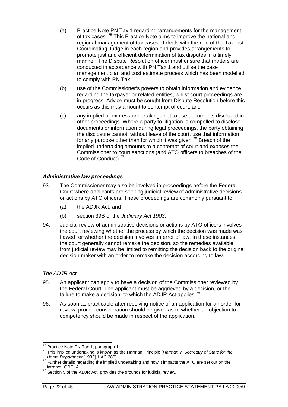- (a) Practice Note PN Tax 1 regarding 'arrangements for the management of tax cases'.[25](#page-22-0) This Practice Note aims to improve the national and regional management of tax cases. It deals with the role of the Tax List Coordinating Judge in each region and provides arrangements to promote just and efficient determination of tax disputes in a timely manner. The Dispute Resolution officer must ensure that matters are conducted in accordance with PN Tax 1 and utilise the case management plan and cost estimate process which has been modelled to comply with PN Tax 1
- (b) use of the Commissioner's powers to obtain information and evidence regarding the taxpayer or related entities, whilst court proceedings are in progress. Advice must be sought from Dispute Resolution before this occurs as this may amount to contempt of court, and
- (c) any implied or express undertakings not to use documents disclosed in other proceedings. Where a party to litigation is compelled to disclose documents or information during legal proceedings, the party obtaining the disclosure cannot, without leave of the court, use that information for any purpose other than for which it was given.<sup>[26](#page-22-1)</sup> Breach of the implied undertaking amounts to a contempt of court and exposes the Commissioner to court sanctions (and ATO officers to breaches of the Code of Conduct).<sup>[27](#page-22-2)</sup>

### *Administrative law proceedings*

- 93. The Commissioner may also be involved in proceedings before the Federal Court where applicants are seeking judicial review of administrative decisions or actions by ATO officers. These proceedings are commonly pursuant to:
	- (a) the ADJR Act, and
	- (b) section 39B of the *Judiciary Act 1903*.
- 94. Judicial review of administrative decisions or actions by ATO officers involves the court reviewing whether the process by which the decision was made was flawed, or whether the decision involves an error of law. In these instances, the court generally cannot remake the decision, so the remedies available from judicial review may be limited to remitting the decision back to the original decision maker with an order to remake the decision according to law.

#### *The ADJR Act*

- 95. An applicant can apply to have a decision of the Commissioner reviewed by the Federal Court. The applicant must be aggrieved by a decision, or the failure to make a decision, to which the ADJR Act applies. $^{28}$  $^{28}$  $^{28}$
- 96. As soon as practicable after receiving notice of an application for an order for review, prompt consideration should be given as to whether an objection to competency should be made in respect of the application.

<span id="page-22-0"></span><sup>&</sup>lt;sup>25</sup> Practice Note PN Tax 1, paragraph 1.1.

<span id="page-22-1"></span><sup>&</sup>lt;sup>26</sup> This implied undertaking is known as the Harman Principle (*Harman v. Secretary of State for the Home Department* [1983] 1 AC 280).

<span id="page-22-2"></span><sup>&</sup>lt;sup>27</sup> Further details regarding the implied undertaking and how it impacts the ATO are set out on the intranet, ORCLA.

<span id="page-22-3"></span> $28$  Section 5 of the ADJR Act provides the grounds for judicial review.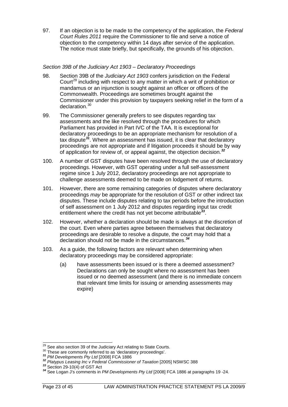97. If an objection is to be made to the competency of the application, the *Federal Court Rules 2011* require the Commissioner to file and serve a notice of objection to the competency within 14 days after service of the application. The notice must state briefly, but specifically, the grounds of his objection.

## *Section 39B of the Judiciary Act 1903 – Declaratory Proceedings*

- 98. Section 39B of the *Judiciary Act 1903* confers jurisdiction on the Federal Court<sup>[29](#page-23-0)</sup> including with respect to any matter in which a writ of prohibition or mandamus or an injunction is sought against an officer or officers of the Commonwealth. Proceedings are sometimes brought against the Commissioner under this provision by taxpayers seeking relief in the form of a declaration.<sup>[30](#page-23-1)</sup>
- 99. The Commissioner generally prefers to see disputes regarding tax assessments and the like resolved through the procedures for which Parliament has provided in Part IVC of the TAA. It is exceptional for declaratory proceedings to be an appropriate mechanism for resolution of a tax dispute*[31](#page-23-2)*. Where an assessment has issued, it is clear that declaratory proceedings are not appropriate and if litigation proceeds it should be by way of application for review of, or appeal against, the objection decision.*[32](#page-23-3)*
- 100. A number of GST disputes have been resolved through the use of declaratory proceedings. However, with GST operating under a full self-assessment regime since 1 July 2012, declaratory proceedings are not appropriate to challenge assessments deemed to be made on lodgement of returns.
- 101. However, there are some remaining categories of disputes where declaratory proceedings *may* be appropriate for the resolution of GST or other indirect tax disputes. These include disputes relating to tax periods before the introduction of self assessment on 1 July 2012 and disputes regarding input tax credit entitlement where the credit has not yet become attributable*[33](#page-23-4)*.
- 102. However, whether a declaration should be made is always at the discretion of the court. Even where parties agree between themselves that declaratory proceedings are desirable to resolve a dispute, the court may hold that a declaration should not be made in the circumstances.*[34](#page-23-5)*
- 103. As a guide, the following factors are relevant when determining when declaratory proceedings may be considered appropriate:
	- (a) have assessments been issued or is there a deemed assessment? Declarations can only be sought where no assessment has been issued or no deemed assessment (and there is no immediate concern that relevant time limits for issuing or amending assessments may expire)

<span id="page-23-0"></span><sup>&</sup>lt;sup>29</sup> See also section 39 of the Judiciary Act relating to State Courts.

<span id="page-23-5"></span><span id="page-23-4"></span><span id="page-23-3"></span>

<span id="page-23-2"></span><span id="page-23-1"></span><sup>&</sup>lt;sup>30</sup> These are commonly referred to as 'declaratory proceedings'.<br>
<sup>31</sup> PM Developments Pty Ltd [2008] FCA 1886<br>
<sup>32</sup> Platypus Leasing Inc v Federal Commissioner of Taxation [2005] NSWSC 388<br>
<sup>33</sup> Section 29-10(4) of GST A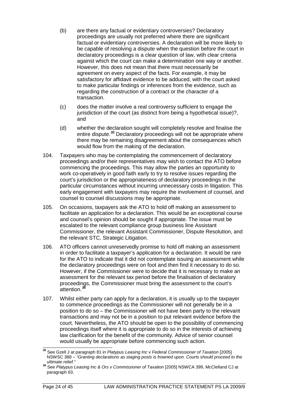- (b) are there any factual or evidentiary controversies? Declaratory proceedings are usually not preferred where there are significant factual or evidentiary controversies. A declaration will be more likely to be capable of resolving a dispute when the question before the court in declaratory proceedings is a clear question of law, with clear criteria against which the court can make a determination one way or another. However, this does not mean that there must necessarily be agreement on every aspect of the facts. For example, it may be satisfactory for affidavit evidence to be adduced, with the court asked to make particular findings or inferences from the evidence, such as regarding the construction of a contract or the character of a transaction.
- (c) does the matter involve a real controversy sufficient to engage the jurisdiction of the court (as distinct from being a hypothetical issue)?, and
- (d) whether the declaration sought will completely resolve and finalise the entire dispute.*[35](#page-24-0)* Declaratory proceedings will not be appropriate where there may be remaining disagreement about the consequences which would flow from the making of the declaration.
- 104. Taxpayers who may be contemplating the commencement of declaratory proceedings and/or their representatives may wish to contact the ATO before commencing the proceedings. This may allow the parties an opportunity to work co-operatively in good faith early to try to resolve issues regarding the court's jurisdiction or the appropriateness of declaratory proceedings in the particular circumstances without incurring unnecessary costs in litigation. This early engagement with taxpayers may require the involvement of counsel, and counsel to counsel discussions may be appropriate.
- 105. On occasions, taxpayers ask the ATO to hold off making an assessment to facilitate an application for a declaration. This would be an exceptional course and counsel's opinion should be sought if appropriate. The issue must be escalated to the relevant compliance group business line Assistant Commissioner, the relevant Assistant Commissioner, Dispute Resolution, and the relevant STC, Strategic Litigation.
- 106. ATO officers cannot unreservedly promise to hold off making an assessment in order to facilitate a taxpayer's application for a declaration. It would be rare for the ATO to indicate that it did not contemplate issuing an assessment while the declaratory proceedings were on foot and then find it necessary to do so. However, if the Commissioner were to decide that it is necessary to make an assessment for the relevant tax period before the finalisation of declaratory proceedings, the Commissioner must bring the assessment to the court's attention.*[36](#page-24-1)*
- 107. Whilst either party can apply for a declaration, it is usually up to the taxpayer to commence proceedings as the Commissioner will not generally be in a position to do so – the Commissioner will not have been party to the relevant transactions and may not be in a position to put relevant evidence before the court. Nevertheless, the ATO should be open to the possibility of commencing proceedings itself where it is appropriate to do so in the interests of achieving law clarification for the benefit of the community. Advice of senior counsel would usually be appropriate before commencing such action.

<span id="page-24-0"></span>*<sup>35</sup>* See Gzell J at paragraph 81 in *Platypus Leasing Inc v Federal Commissioner of Taxation* [2005] NSWSC 388 – *"Granting declarations as staging posts is frowned upon. Courts should proceed to the*   $\overline{a}$ 

<span id="page-24-1"></span><sup>&</sup>lt;sup>36</sup> See Platypus Leasing Inc & Ors v Commissioner of Taxation [2005] NSWCA 399, McClelland CJ at paragraph 63.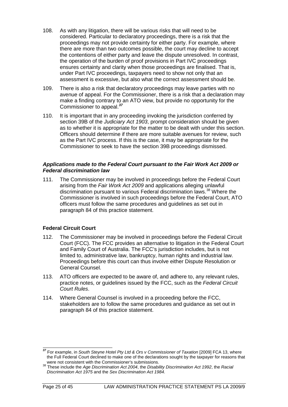- 108. As with any litigation, there will be various risks that will need to be considered. Particular to declaratory proceedings, there is a risk that the proceedings may not provide certainty for either party. For example, where there are more than two outcomes possible, the court may decline to accept the contentions of either party and leave the dispute unresolved. In contrast, the operation of the burden of proof provisions in Part IVC proceedings ensures certainty and clarity when those proceedings are finalised. That is, under Part IVC proceedings, taxpayers need to show not only that an assessment is excessive, but also what the correct assessment should be.
- 109. There is also a risk that declaratory proceedings may leave parties with no avenue of appeal. For the Commissioner, there is a risk that a declaration may make a finding contrary to an ATO view, but provide no opportunity for the Commissioner to appeal.*[37](#page-25-0)*
- 110. It is important that in any proceeding invoking the jurisdiction conferred by section 39B of the *Judiciary Act 1903*, prompt consideration should be given as to whether it is appropriate for the matter to be dealt with under this section. Officers should determine if there are more suitable avenues for review, such as the Part IVC process. If this is the case, it may be appropriate for the Commissioner to seek to have the section 39B proceedings dismissed.

#### *Applications made to the Federal Court pursuant to the Fair Work Act 2009 or Federal discrimination law*

111. The Commissioner may be involved in proceedings before the Federal Court arising from the *Fair Work Act 2009* and applications alleging unlawful discrimination pursuant to various Federal discrimination laws. [38](#page-25-1) Where the Commissioner is involved in such proceedings before the Federal Court, ATO officers must follow the same procedures and guidelines as set out in paragraph 84 of this practice statement.

## **Federal Circuit Court**

- 112. The Commissioner may be involved in proceedings before the Federal Circuit Court (FCC). The FCC provides an alternative to litigation in the Federal Court and Family Court of Australia. The FCC's jurisdiction includes, but is not limited to, administrative law, bankruptcy, human rights and industrial law. Proceedings before this court can thus involve either Dispute Resolution or General Counsel.
- 113. ATO officers are expected to be aware of, and adhere to, any relevant rules, practice notes, or guidelines issued by the FCC, such as the *Federal Circuit Court Rules*.
- 114. Where General Counsel is involved in a proceeding before the FCC, stakeholders are to follow the same procedures and guidance as set out in paragraph 84 of this practice statement.

<span id="page-25-0"></span>*<sup>37</sup>* For example, in *South Steyne Hotel Pty Ltd & Ors v Commissioner of Taxation* [2009] FCA 13, where the Full Federal Court declined to make one of the declarations sought by the taxpayer for reasons that were not consistent with the Commissioner's submissions.  $\overline{a}$ 

<span id="page-25-1"></span><sup>&</sup>lt;sup>38</sup> These include the Age Discrimination Act 2004, the Disability Discrimination Act 1992, the *Racial Discrimination Act 1975* and the *Sex Discrimination Act 1984*.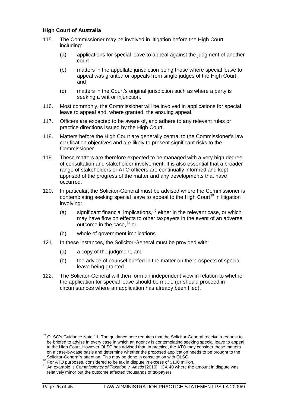#### **High Court of Australia**

- 115. The Commissioner may be involved in litigation before the High Court including:
	- (a) applications for special leave to appeal against the judgment of another court
	- (b) matters in the appellate jurisdiction being those where special leave to appeal was granted or appeals from single judges of the High Court, and
	- (c) matters in the Court's original jurisdiction such as where a party is seeking a writ or injunction.
- 116. Most commonly, the Commissioner will be involved in applications for special leave to appeal and, where granted, the ensuing appeal.
- 117. Officers are expected to be aware of, and adhere to any relevant rules or practice directions issued by the High Court.
- 118. Matters before the High Court are generally central to the Commissioner's law clarification objectives and are likely to present significant risks to the Commissioner.
- 119. These matters are therefore expected to be managed with a very high degree of consultation and stakeholder involvement. It is also essential that a broader range of stakeholders or ATO officers are continually informed and kept apprised of the progress of the matter and any developments that have occurred.
- 120. In particular, the Solicitor-General must be advised where the Commissioner is contemplating seeking special leave to appeal to the High Court<sup>[39](#page-26-0)</sup> in litigation involving:
	- (a) significant financial implications, [40](#page-26-1) either in the relevant case, or which may have flow on effects to other taxpayers in the event of an adverse outcome in the case, [41](#page-26-2) or
	- (b) whole of government implications.
- 121. In these instances, the Solicitor-General must be provided with:
	- (a) a copy of the judgment, and
	- (b) the advice of counsel briefed in the matter on the prospects of special leave being granted.
- 122. The Solicitor-General will then form an independent view in relation to whether the application for special leave should be made (or should proceed in circumstances where an application has already been filed).

<span id="page-26-0"></span> $39$  OLSC's Guidance Note 11. The guidance note requires that the Solicitor-General receive a request to be briefed to advise in every case in which an agency is contemplating seeking special leave to appeal to the High Court. However OLSC has advised that, in practice, the ATO may consider these matters on a case-by-case basis and determine whether the proposed application needs to be brought to the Solicitor-General's attention. This may be done in consultation with OLSC.  $\overline{\phantom{a}}$ 

<span id="page-26-2"></span><span id="page-26-1"></span><sup>40</sup> For ATO purposes, considered to be tax in dispute in excess of \$100 million.<br>41 An example is *Commissioner of Taxation v. Anstis* [2010] HCA 40 where the amount in dispute was relatively minor but the outcome affected thousands of taxpayers.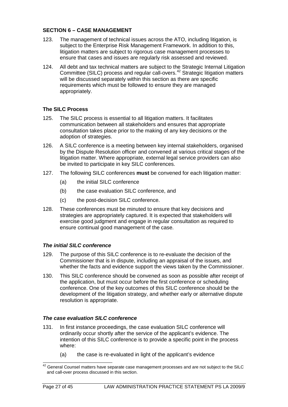## **SECTION 6 – CASE MANAGEMENT**

- 123. The management of technical issues across the ATO, including litigation, is subject to the Enterprise Risk Management Framework. In addition to this, litigation matters are subject to rigorous case management processes to ensure that cases and issues are regularly risk assessed and reviewed.
- 124. All debt and tax technical matters are subject to the Strategic Internal Litigation Committee (SILC) process and regular call-overs.[42](#page-27-0) Strategic litigation matters will be discussed separately within this section as there are specific requirements which must be followed to ensure they are managed appropriately.

## **The SILC Process**

- 125. The SILC process is essential to all litigation matters. It facilitates communication between all stakeholders and ensures that appropriate consultation takes place prior to the making of any key decisions or the adoption of strategies.
- 126. A SILC conference is a meeting between key internal stakeholders, organised by the Dispute Resolution officer and convened at various critical stages of the litigation matter. Where appropriate, external legal service providers can also be invited to participate in key SILC conferences.
- 127. The following SILC conferences **must** be convened for each litigation matter:
	- (a) the initial SILC conference
	- (b) the case evaluation SILC conference, and
	- (c) the post-decision SILC conference.
- 128. These conferences must be minuted to ensure that key decisions and strategies are appropriately captured. It is expected that stakeholders will exercise good judgment and engage in regular consultation as required to ensure continual good management of the case.

## *The initial SILC conference*

- 129. The purpose of this SILC conference is to re-evaluate the decision of the Commissioner that is in dispute, including an appraisal of the issues, and whether the facts and evidence support the views taken by the Commissioner.
- 130. This SILC conference should be convened as soon as possible after receipt of the application, but must occur before the first conference or scheduling conference. One of the key outcomes of this SILC conference should be the development of the litigation strategy, and whether early or alternative dispute resolution is appropriate.

## *The case evaluation SILC conference*

- 131. In first instance proceedings, the case evaluation SILC conference will ordinarily occur shortly after the service of the applicant's evidence. The intention of this SILC conference is to provide a specific point in the process where:
	- (a) the case is re-evaluated in light of the applicant's evidence

<span id="page-27-0"></span> $42$  General Counsel matters have separate case management processes and are not subject to the SILC and call-over process discussed in this section.  $\overline{\phantom{a}}$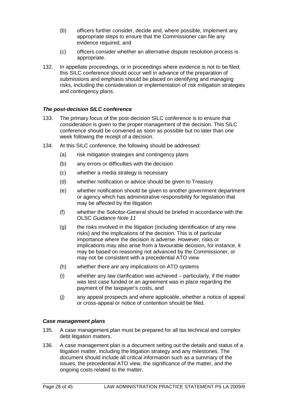- (b) officers further consider, decide and, where possible, implement any appropriate steps to ensure that the Commissioner can file any evidence required, and
- (c) officers consider whether an alternative dispute resolution process is appropriate.
- 132. In appellate proceedings, or in proceedings where evidence is not to be filed, this SILC conference should occur well in advance of the preparation of submissions and emphasis should be placed on identifying and managing risks, including the consideration or implementation of risk mitigation strategies and contingency plans.

### *The post-decision SILC conference*

- 133. The primary focus of the post-decision SILC conference is to ensure that consideration is given to the proper management of the decision. This SILC conference should be convened as soon as possible but no later than one week following the receipt of a decision.
- 134. At this SILC conference, the following should be addressed:
	- (a) risk mitigation strategies and contingency plans
	- (b) any errors or difficulties with the decision
	- (c) whether a media strategy is necessary
	- (d) whether notification or advice should be given to Treasury
	- (e) whether notification should be given to another government department or agency which has administrative responsibility for legislation that may be affected by the litigation
	- (f) whether the Solicitor-General should be briefed in accordance with the OLSC *Guidance Note 11*
	- (g) the risks involved in the litigation (including identification of any new risks) and the implications of the decision. This is of particular importance where the decision is adverse. However, risks or implications may also arise from a favourable decision, for instance, it may be based on reasoning not advanced by the Commissioner, or may not be consistent with a precedential ATO view
	- (h) whether there are any implications on ATO systems
	- (i) whether any law clarification was achieved particularly, if the matter was test case funded or an agreement was in place regarding the payment of the taxpayer's costs, and
	- (j) any appeal prospects and where applicable, whether a notice of appeal or cross-appeal or notice of contention should be filed.

#### *Case management plans*

- 135. A case management plan must be prepared for all tax technical and complex debt litigation matters.
- 136. A case management plan is a document setting out the details and status of a litigation matter, including the litigation strategy and any milestones. The document should include all critical information such as a summary of the issues, the precedential ATO view, the significance of the matter, and the ongoing costs related to the matter.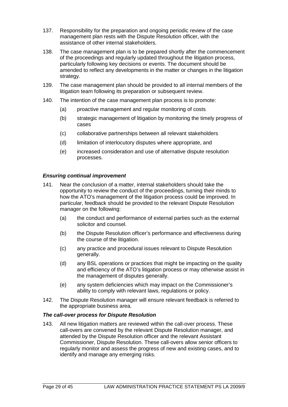- 137. Responsibility for the preparation and ongoing periodic review of the case management plan rests with the Dispute Resolution officer, with the assistance of other internal stakeholders.
- 138. The case management plan is to be prepared shortly after the commencement of the proceedings and regularly updated throughout the litigation process, particularly following key decisions or events. The document should be amended to reflect any developments in the matter or changes in the litigation strategy.
- 139. The case management plan should be provided to all internal members of the litigation team following its preparation or subsequent review.
- 140. The intention of the case management plan process is to promote:
	- (a) proactive management and regular monitoring of costs
	- (b) strategic management of litigation by monitoring the timely progress of cases
	- (c) collaborative partnerships between all relevant stakeholders
	- (d) limitation of interlocutory disputes where appropriate, and
	- (e) increased consideration and use of alternative dispute resolution processes.

#### *Ensuring continual improvement*

- 141. Near the conclusion of a matter, internal stakeholders should take the opportunity to review the conduct of the proceedings, turning their minds to how the ATO's management of the litigation process could be improved. In particular, feedback should be provided to the relevant Dispute Resolution manager on the following:
	- (a) the conduct and performance of external parties such as the external solicitor and counsel.
	- (b) the Dispute Resolution officer's performance and effectiveness during the course of the litigation.
	- (c) any practice and procedural issues relevant to Dispute Resolution generally.
	- (d) any BSL operations or practices that might be impacting on the quality and efficiency of the ATO's litigation process or may otherwise assist in the management of disputes generally.
	- (e) any system deficiencies which may impact on the Commissioner's ability to comply with relevant laws, regulations or policy.
- 142. The Dispute Resolution manager will ensure relevant feedback is referred to the appropriate business area.

#### *The call-over process for Dispute Resolution*

143. All new litigation matters are reviewed within the call-over process. These call-overs are convened by the relevant Dispute Resolution manager, and attended by the Dispute Resolution officer and the relevant Assistant Commissioner, Dispute Resolution. These call-overs allow senior officers to regularly monitor and assess the progress of new and existing cases, and to identify and manage any emerging risks.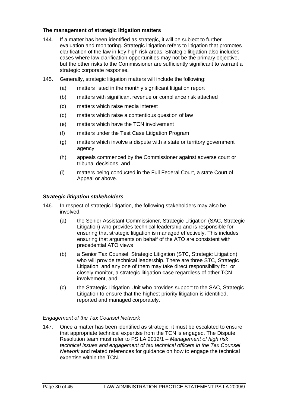### **The management of strategic litigation matters**

- 144. If a matter has been identified as strategic, it will be subject to further evaluation and monitoring. Strategic litigation refers to litigation that promotes clarification of the law in key high risk areas. Strategic litigation also includes cases where law clarification opportunities may not be the primary objective, but the other risks to the Commissioner are sufficiently significant to warrant a strategic corporate response.
- 145. Generally, strategic litigation matters will include the following:
	- (a) matters listed in the monthly significant litigation report
	- (b) matters with significant revenue or compliance risk attached
	- (c) matters which raise media interest
	- (d) matters which raise a contentious question of law
	- (e) matters which have the TCN involvement
	- (f) matters under the Test Case Litigation Program
	- (g) matters which involve a dispute with a state or territory government agency
	- (h) appeals commenced by the Commissioner against adverse court or tribunal decisions, and
	- (i) matters being conducted in the Full Federal Court, a state Court of Appeal or above.

### *Strategic litigation stakeholders*

- 146. In respect of strategic litigation, the following stakeholders may also be involved:
	- (a) the Senior Assistant Commissioner, Strategic Litigation (SAC, Strategic Litigation) who provides technical leadership and is responsible for ensuring that strategic litigation is managed effectively. This includes ensuring that arguments on behalf of the ATO are consistent with precedential ATO views
	- (b) a Senior Tax Counsel, Strategic Litigation (STC, Strategic Litigation) who will provide technical leadership. There are three STC, Strategic Litigation, and any one of them may take direct responsibility for, or closely monitor, a strategic litigation case regardless of other TCN involvement, and
	- (c) the Strategic Litigation Unit who provides support to the SAC, Strategic Litigation to ensure that the highest priority litigation is identified, reported and managed corporately.

#### *Engagement of the Tax Counsel Network*

147. Once a matter has been identified as strategic, it must be escalated to ensure that appropriate technical expertise from the TCN is engaged. The Dispute Resolution team must refer to PS LA 2012/1 – *Management of high risk technical issues and engagement of tax technical officers in the Tax Counsel Network* and related references for guidance on how to engage the technical expertise within the TCN.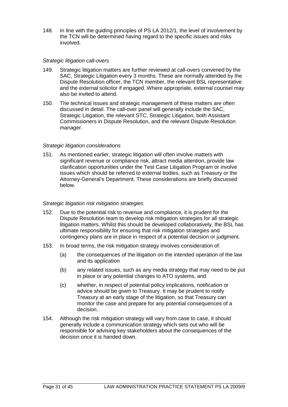148. In line with the guiding principles of PS LA 2012/1, the level of involvement by the TCN will be determined having regard to the specific issues and risks involved.

## *Strategic litigation call-overs*

- 149. Strategic litigation matters are further reviewed at call-overs convened by the SAC, Strategic Litigation every 3 months. These are normally attended by the Dispute Resolution officer, the TCN member, the relevant BSL representative and the external solicitor if engaged. Where appropriate, external counsel may also be invited to attend.
- 150. The technical issues and strategic management of these matters are often discussed in detail. The call-over panel will generally include the SAC, Strategic Litigation, the relevant STC, Strategic Litigation, both Assistant Commissioners in Dispute Resolution, and the relevant Dispute Resolution manager.

#### *Strategic litigation considerations*

151. As mentioned earlier, strategic litigation will often involve matters with significant revenue or compliance risk, attract media attention, provide law clarification opportunities under the Test Case Litigation Program or involve issues which should be referred to external bodies, such as Treasury or the Attorney-General's Department. These considerations are briefly discussed below.

#### *Strategic litigation risk mitigation strategies*

- 152. Due to the potential risk to revenue and compliance, it is prudent for the Dispute Resolution team to develop risk mitigation strategies for all strategic litigation matters. Whilst this should be developed collaboratively, the BSL has ultimate responsibility for ensuring that risk mitigation strategies and contingency plans are in place in respect of a potential decision or judgment.
- 153. In broad terms, the risk mitigation strategy involves consideration of:
	- (a) the consequences of the litigation on the intended operation of the law and its application
	- (b) any related issues, such as any media strategy that may need to be put in place or any potential changes to ATO systems, and
	- (c) whether, in respect of potential policy implications, notification or advice should be given to Treasury. It may be prudent to notify Treasury at an early stage of the litigation, so that Treasury can monitor the case and prepare for any potential consequences of a decision.
- 154. Although the risk mitigation strategy will vary from case to case, it should generally include a communication strategy which sets out who will be responsible for advising key stakeholders about the consequences of the decision once it is handed down.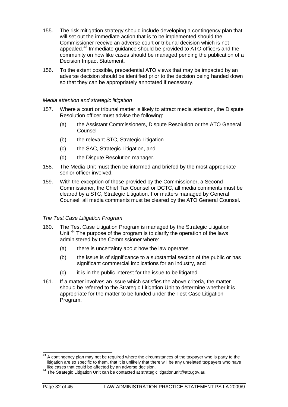- 155. The risk mitigation strategy should include developing a contingency plan that will set out the immediate action that is to be implemented should the Commissioner receive an adverse court or tribunal decision which is not appealed. [43](#page-32-0) Immediate guidance should be provided to ATO officers and the community on how like cases should be managed pending the publication of a Decision Impact Statement.
- 156. To the extent possible, precedential ATO views that may be impacted by an adverse decision should be identified prior to the decision being handed down so that they can be appropriately annotated if necessary.

#### *Media attention and strategic litigation*

- 157. Where a court or tribunal matter is likely to attract media attention, the Dispute Resolution officer must advise the following:
	- (a) the Assistant Commissioners, Dispute Resolution or the ATO General Counsel
	- (b) the relevant STC, Strategic Litigation
	- (c) the SAC, Strategic Litigation, and
	- (d) the Dispute Resolution manager.
- 158. The Media Unit must then be informed and briefed by the most appropriate senior officer involved.
- 159. With the exception of those provided by the Commissioner, a Second Commissioner, the Chief Tax Counsel or DCTC, all media comments must be cleared by a STC, Strategic Litigation. For matters managed by General Counsel, all media comments must be cleared by the ATO General Counsel.

#### *The Test Case Litigation Program*

- 160. The Test Case Litigation Program is managed by the Strategic Litigation Unit.<sup>[44](#page-32-1)</sup> The purpose of the program is to clarify the operation of the laws administered by the Commissioner where:
	- (a) there is uncertainty about how the law operates
	- (b) the issue is of significance to a substantial section of the public or has significant commercial implications for an industry, and
	- (c) it is in the public interest for the issue to be litigated.
- 161. If a matter involves an issue which satisfies the above criteria, the matter should be referred to the Strategic Litigation Unit to determine whether it is appropriate for the matter to be funded under the Test Case Litigation Program.

<span id="page-32-0"></span>*<sup>43</sup>* A contingency plan may not be required where the circumstances of the taxpayer who is party to the litigation are so specific to them, that it is unlikely that there will be any unrelated taxpayers who have like cases that could be affected by an adverse decision. j

<span id="page-32-1"></span><sup>&</sup>lt;sup>44</sup> The Strategic Litigation Unit can be contacted at strategiclitigationunit@ato.gov.au.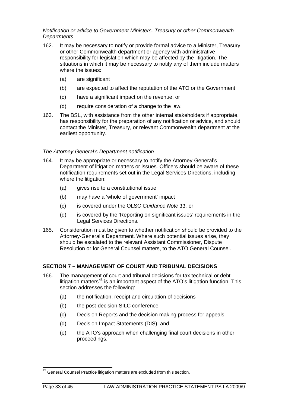## *Notification or advice to Government Ministers, Treasury or other Commonwealth Departments*

- 162. It may be necessary to notify or provide formal advice to a Minister, Treasury or other Commonwealth department or agency with administrative responsibility for legislation which may be affected by the litigation. The situations in which it may be necessary to notify any of them include matters where the issues:
	- (a) are significant
	- (b) are expected to affect the reputation of the ATO or the Government
	- (c) have a significant impact on the revenue, or
	- (d) require consideration of a change to the law.
- 163. The BSL, with assistance from the other internal stakeholders if appropriate, has responsibility for the preparation of any notification or advice, and should contact the Minister, Treasury, or relevant Commonwealth department at the earliest opportunity.

#### *The Attorney-General's Department notification*

- 164. It may be appropriate or necessary to notify the Attorney-General's Department of litigation matters or issues. Officers should be aware of these notification requirements set out in the Legal Services Directions, including where the litigation:
	- (a) gives rise to a constitutional issue
	- (b) may have a 'whole of government' impact
	- (c) is covered under the OLSC *Guidance Note 11,* or
	- (d) is covered by the 'Reporting on significant issues' requirements in the Legal Services Directions.
- 165. Consideration must be given to whether notification should be provided to the Attorney-General's Department. Where such potential issues arise, they should be escalated to the relevant Assistant Commissioner, Dispute Resolution or for General Counsel matters, to the ATO General Counsel.

## **SECTION 7 – MANAGEMENT OF COURT AND TRIBUNAL DECISIONS**

- 166. The management of court and tribunal decisions for tax technical or debt litigation matters<sup>[45](#page-33-0)</sup> is an important aspect of the ATO's litigation function. This section addresses the following:
	- (a) the notification, receipt and circulation of decisions
	- (b) the post-decision SILC conference
	- (c) Decision Reports and the decision making process for appeals
	- (d) Decision Impact Statements (DIS), and
	- (e) the ATO's approach when challenging final court decisions in other proceedings.

<span id="page-33-0"></span> $45$  General Counsel Practice litigation matters are excluded from this section.  $\overline{\phantom{a}}$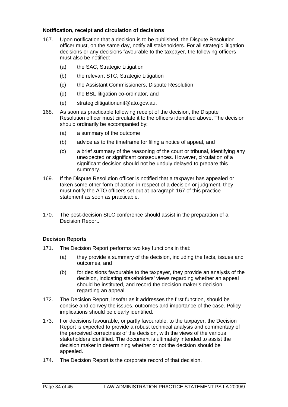#### **Notification, receipt and circulation of decisions**

- 167. Upon notification that a decision is to be published, the Dispute Resolution officer must, on the same day, notify all stakeholders. For all strategic litigation decisions or any decisions favourable to the taxpayer, the following officers must also be notified:
	- (a) the SAC, Strategic Litigation
	- (b) the relevant STC, Strategic Litigation
	- (c) the Assistant Commissioners, Dispute Resolution
	- (d) the BSL litigation co-ordinator, and
	- (e) strategiclitigationunit@ato.gov.au.
- 168. As soon as practicable following receipt of the decision, the Dispute Resolution officer must circulate it to the officers identified above. The decision should ordinarily be accompanied by:
	- (a) a summary of the outcome
	- (b) advice as to the timeframe for filing a notice of appeal, and
	- (c) a brief summary of the reasoning of the court or tribunal, identifying any unexpected or significant consequences. However, circulation of a significant decision should not be unduly delayed to prepare this summary.
- 169. If the Dispute Resolution officer is notified that a taxpayer has appealed or taken some other form of action in respect of a decision or judgment, they must notify the ATO officers set out at paragraph 167 of this practice statement as soon as practicable.
- 170. The post-decision SILC conference should assist in the preparation of a Decision Report.

## **Decision Reports**

- 171. The Decision Report performs two key functions in that:
	- (a) they provide a summary of the decision, including the facts, issues and outcomes, and
	- (b) for decisions favourable to the taxpayer, they provide an analysis of the decision, indicating stakeholders' views regarding whether an appeal should be instituted, and record the decision maker's decision regarding an appeal.
- 172. The Decision Report, insofar as it addresses the first function, should be concise and convey the issues, outcomes and importance of the case. Policy implications should be clearly identified.
- 173. For decisions favourable, or partly favourable, to the taxpayer, the Decision Report is expected to provide a robust technical analysis and commentary of the perceived correctness of the decision, with the views of the various stakeholders identified. The document is ultimately intended to assist the decision maker in determining whether or not the decision should be appealed.
- 174. The Decision Report is the corporate record of that decision.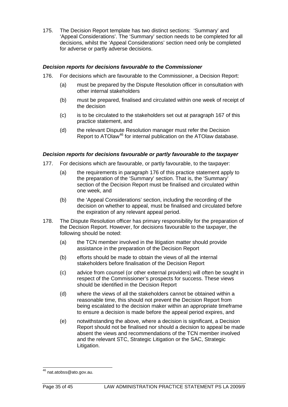175. The Decision Report template has two distinct sections: 'Summary' and 'Appeal Considerations'. The 'Summary' section needs to be completed for all decisions, whilst the 'Appeal Considerations' section need only be completed for adverse or partly adverse decisions.

#### *Decision reports for decisions favourable to the Commissioner*

- 176. For decisions which are favourable to the Commissioner, a Decision Report:
	- (a) must be prepared by the Dispute Resolution officer in consultation with other internal stakeholders
	- (b) must be prepared, finalised and circulated within one week of receipt of the decision
	- (c) is to be circulated to the stakeholders set out at paragraph 167 of this practice statement, and
	- (d) the relevant Dispute Resolution manager must refer the Decision Report to ATOlaw<sup>[46](#page-35-0)</sup> for internal publication on the ATOlaw database.

#### *Decision reports for decisions favourable or partly favourable to the taxpayer*

- 177. For decisions which are favourable, or partly favourable, to the taxpayer:
	- (a) the requirements in paragraph 176 of this practice statement apply to the preparation of the 'Summary' section. That is, the 'Summary' section of the Decision Report must be finalised and circulated within one week, and
	- (b) the 'Appeal Considerations' section, including the recording of the decision on whether to appeal, must be finalised and circulated before the expiration of any relevant appeal period.
- 178. The Dispute Resolution officer has primary responsibility for the preparation of the Decision Report. However, for decisions favourable to the taxpayer, the following should be noted:
	- (a) the TCN member involved in the litigation matter should provide assistance in the preparation of the Decision Report
	- (b) efforts should be made to obtain the views of all the internal stakeholders before finalisation of the Decision Report
	- (c) advice from counsel (or other external providers) will often be sought in respect of the Commissioner's prospects for success. These views should be identified in the Decision Report
	- (d) where the views of all the stakeholders cannot be obtained within a reasonable time, this should not prevent the Decision Report from being escalated to the decision maker within an appropriate timeframe to ensure a decision is made before the appeal period expires, and
	- (e) notwithstanding the above, where a decision is significant, a Decision Report should not be finalised nor should a decision to appeal be made absent the views and recommendations of the TCN member involved and the relevant STC, Strategic Litigation or the SAC, Strategic Litigation.

<span id="page-35-0"></span><sup>&</sup>lt;sup>46</sup> nat.atobss@ato.gov.au.  $\overline{\phantom{a}}$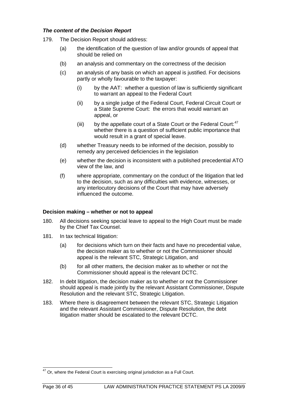#### *The content of the Decision Report*

- 179. The Decision Report should address:
	- (a) the identification of the question of law and/or grounds of appeal that should be relied on
	- (b) an analysis and commentary on the correctness of the decision
	- (c) an analysis of any basis on which an appeal is justified. For decisions partly or wholly favourable to the taxpayer:
		- (i) by the AAT: whether a question of law is sufficiently significant to warrant an appeal to the Federal Court
		- (ii) by a single judge of the Federal Court, Federal Circuit Court or a State Supreme Court: the errors that would warrant an appeal, or
		- (iii) by the appellate court of a State Court or the Federal Court: $47$ whether there is a question of sufficient public importance that would result in a grant of special leave.
	- (d) whether Treasury needs to be informed of the decision, possibly to remedy any perceived deficiencies in the legislation
	- (e) whether the decision is inconsistent with a published precedential ATO view of the law, and
	- (f) where appropriate, commentary on the conduct of the litigation that led to the decision, such as any difficulties with evidence, witnesses, or any interlocutory decisions of the Court that may have adversely influenced the outcome.

#### **Decision making – whether or not to appeal**

- 180. All decisions seeking special leave to appeal to the High Court must be made by the Chief Tax Counsel.
- 181. In tax technical litigation:
	- (a) for decisions which turn on their facts and have no precedential value, the decision maker as to whether or not the Commissioner should appeal is the relevant STC, Strategic Litigation, and
	- (b) for all other matters, the decision maker as to whether or not the Commissioner should appeal is the relevant DCTC.
- 182. In debt litigation, the decision maker as to whether or not the Commissioner should appeal is made jointly by the relevant Assistant Commissioner, Dispute Resolution and the relevant STC, Strategic Litigation.
- 183. Where there is disagreement between the relevant STC, Strategic Litigation and the relevant Assistant Commissioner, Dispute Resolution, the debt litigation matter should be escalated to the relevant DCTC.

<span id="page-36-0"></span> $47$  Or, where the Federal Court is exercising original jurisdiction as a Full Court.  $\overline{\phantom{a}}$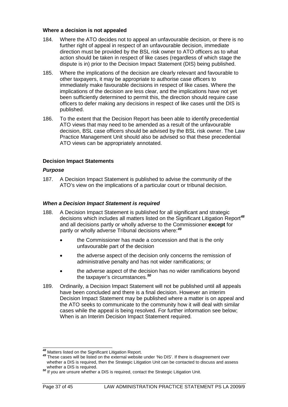#### **Where a decision is not appealed**

- 184. Where the ATO decides not to appeal an unfavourable decision, or there is no further right of appeal in respect of an unfavourable decision, immediate direction must be provided by the BSL risk owner to ATO officers as to what action should be taken in respect of like cases (regardless of which stage the dispute is in) prior to the Decision Impact Statement (DIS) being published.
- 185. Where the implications of the decision are clearly relevant and favourable to other taxpayers, it may be appropriate to authorise case officers to immediately make favourable decisions in respect of like cases. Where the implications of the decision are less clear, and the implications have not yet been sufficiently determined to permit this, the direction should require case officers to defer making any decisions in respect of like cases until the DIS is published.
- 186. To the extent that the Decision Report has been able to identify precedential ATO views that may need to be amended as a result of the unfavourable decision, BSL case officers should be advised by the BSL risk owner. The Law Practice Management Unit should also be advised so that these precedential ATO views can be appropriately annotated.

### **Decision Impact Statements**

#### *Purpose*

187. A Decision Impact Statement is published to advise the community of the ATO's view on the implications of a particular court or tribunal decision.

#### *When a Decision Impact Statement is required*

- 188. A Decision Impact Statement is published for all significant and strategic decisions which includes all matters listed on the Significant Litigation Report*[48](#page-37-0)* and all decisions partly or wholly adverse to the Commissioner **except** for partly or wholly adverse Tribunal decisions where:*[49](#page-37-1)*
	- the Commissioner has made a concession and that is the only unfavourable part of the decision
	- the adverse aspect of the decision only concerns the remission of administrative penalty and has not wider ramifications; or
	- the adverse aspect of the decision has no wider ramifications beyond the taxpayer's circumstances.*[50](#page-37-2)*
- 189. Ordinarily, a Decision Impact Statement will not be published until all appeals have been concluded and there is a final decision. However an interim Decision Impact Statement may be published where a matter is on appeal and the ATO seeks to communicate to the community how it will deal with similar cases while the appeal is being resolved. For further information see below; When is an Interim Decision Impact Statement required.

<sup>48</sup> Matters listed on the Significant Litigation Report.

<span id="page-37-1"></span><span id="page-37-0"></span><sup>&</sup>lt;sup>49</sup> These cases will be listed on the external website under 'No DIS'. If there is disagreement over whether a DIS is required, then the Strategic Litigation Unit can be contacted to discuss and assess whether a DIS is required.

<span id="page-37-2"></span><sup>&</sup>lt;sup>50</sup> If you are unsure whether a DIS is required, contact the Strategic Litigation Unit.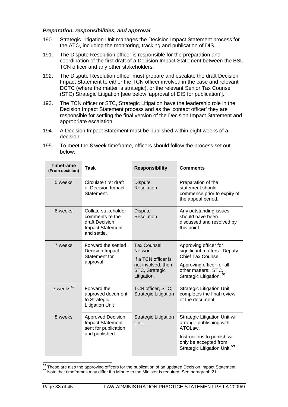#### *Preparation, responsibilities, and approval*

- 190. Strategic Litigation Unit manages the Decision Impact Statement process for the ATO, including the monitoring, tracking and publication of DIS.
- 191. The Dispute Resolution officer is responsible for the preparation and coordination of the first draft of a Decision Impact Statement between the BSL, TCN officer and any other stakeholders.
- 192. The Dispute Resolution officer must prepare and escalate the draft Decision Impact Statement to either the TCN officer involved in the case and relevant DCTC (where the matter is strategic), or the relevant Senior Tax Counsel (STC) Strategic Litigation [see below 'approval of DIS for publication'].
- 193. The TCN officer or STC, Strategic Litigation have the leadership role in the Decision Impact Statement process and as the 'contact officer' they are responsible for settling the final version of the Decision Impact Statement and appropriate escalation.
- 194. A Decision Impact Statement must be published within eight weeks of a decision.
- 195. To meet the 8 week timeframe, officers should follow the process set out below:

| <b>Timeframe</b><br>(From decision) | <b>Task</b>                                                                                        | <b>Responsibility</b>                                                                                              | <b>Comments</b>                                                                                                                                                                  |
|-------------------------------------|----------------------------------------------------------------------------------------------------|--------------------------------------------------------------------------------------------------------------------|----------------------------------------------------------------------------------------------------------------------------------------------------------------------------------|
| 5 weeks                             | Circulate first draft<br>of Decision Impact<br>Statement.                                          | <b>Dispute</b><br>Resolution                                                                                       | Preparation of the<br>statement should<br>commence prior to expiry of<br>the appeal period.                                                                                      |
| 6 weeks                             | Collate stakeholder<br>comments re the<br>draft Decision<br><b>Impact Statement</b><br>and settle. | <b>Dispute</b><br>Resolution                                                                                       | Any outstanding issues<br>should have been<br>discussed and resolved by<br>this point.                                                                                           |
| 7 weeks                             | Forward the settled<br>Decision Impact<br>Statement for<br>approval.                               | <b>Tax Counsel</b><br><b>Network</b><br>If a TCN officer is<br>not involved, then<br>STC, Strategic<br>Litigation. | Approving officer for<br>significant matters: Deputy<br>Chief Tax Counsel.<br>Approving officer for all<br>other matters: STC,<br>Strategic Litigation. <sup>51</sup>            |
| 7 weeks <sup>52</sup>               | Forward the<br>approved document<br>to Strategic<br><b>Litigation Unit</b>                         | TCN officer, STC,<br><b>Strategic Litigation</b>                                                                   | <b>Strategic Litigation Unit</b><br>completes the final review<br>of the document.                                                                                               |
| 8 weeks                             | <b>Approved Decision</b><br><b>Impact Statement</b><br>sent for publication,<br>and published.     | <b>Strategic Litigation</b><br>Unit.                                                                               | <b>Strategic Litigation Unit will</b><br>arrange publishing with<br>ATOLaw.<br>Instructions to publish will<br>only be accepted from<br>Strategic Litigation Unit. <sup>53</sup> |

<span id="page-38-2"></span><span id="page-38-1"></span><span id="page-38-0"></span>*<sup>51</sup>* These are also the approving officers for the publication of an updated Decision Impact Statement. *<sup>52</sup>* Note that timeframes may differ if a Minute to the Minister is required. See paragraph 21. <sup>51</sup> These are also the approving officers for the publication of an updated Decision Impact Statement.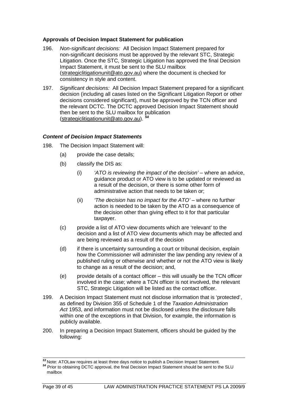#### **Approvals of Decision Impact Statement for publication**

- 196. *Non-significant decisions:* All Decision Impact Statement prepared for non-significant decisions must be approved by the relevant STC, Strategic Litigation. Once the STC, Strategic Litigation has approved the final Decision Impact Statement, it must be sent to the SLU mailbox [\(strategiclitigationunit@ato.gov.au\)](mailto:strategiclitigationunit@ato.gov.au) where the document is checked for consistency in style and content.
- 197. *Significant decisions:* All Decision Impact Statement prepared for a significant decision (including all cases listed on the Significant Litigation Report or other decisions considered significant), must be approved by the TCN officer and the relevant DCTC. The DCTC approved Decision Impact Statement should then be sent to the SLU mailbox for publication [\(strategiclitigationunit@ato.gov.au\)](mailto:strategiclitigationunit@ato.gov.au). *[54](#page-39-0)*

### *Content of Decision Impact Statements*

- 198. The Decision Impact Statement will:
	- (a) provide the case details;
	- (b) classify the DIS as:
		- (i) *'ATO is reviewing the impact of the decision'* where an advice, guidance product or ATO view is to be updated or reviewed as a result of the decision, or there is some other form of administrative action that needs to be taken or;
		- (ii) *'The decision has no impact for the ATO'* where no further action is needed to be taken by the ATO as a consequence of the decision other than giving effect to it for that particular taxpayer.
	- (c) provide a list of ATO view documents which are 'relevant' to the decision and a list of ATO view documents which may be affected and are being reviewed as a result of the decision
	- (d) if there is uncertainty surrounding a court or tribunal decision, explain how the Commissioner will administer the law pending any review of a published ruling or otherwise and whether or not the ATO view is likely to change as a result of the decision; and,
	- (e) provide details of a contact officer this will usually be the TCN officer involved in the case; where a TCN officer is not involved, the relevant STC, Strategic Litigation will be listed as the contact officer.
- 199. A Decision Impact Statement must not disclose information that is 'protected', as defined by Division 355 of Schedule 1 of the *Taxation Administration Act* 1953, and information must not be disclosed unless the disclosure falls within one of the exceptions in that Division, for example, the information is publicly available.
- 200. In preparing a Decision Impact Statement, officers should be guided by the following:

<sup>53</sup> Note: ATOLaw requires at least three days notice to publish a Decision Impact Statement.

<span id="page-39-0"></span><sup>&</sup>lt;sup>54</sup> Prior to obtaining DCTC approval, the final Decision Impact Statement should be sent to the SLU mailbox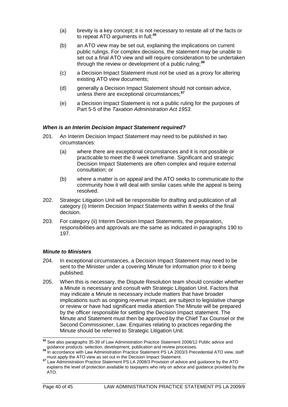- (a) brevity is a key concept; it is not necessary to restate all of the facts or to repeat ATO arguments in full;*[55](#page-40-0)*
- (b) an ATO view may be set out, explaining the implications on current public rulings. For complex decisions, the statement may be unable to set out a final ATO view and will require consideration to be undertaken through the review or development of a public ruling;*[56](#page-40-1)*
- (c) a Decision Impact Statement must not be used as a proxy for altering existing ATO view documents;
- (d) generally a Decision Impact Statement should not contain advice, unless there are exceptional circumstances;*[57](#page-40-2)*
- (e) a Decision Impact Statement is not a public ruling for the purposes of Part 5-5 of the *Taxation Administration Act 1953.*

### *When is an Interim Decision Impact Statement required?*

- 201. An Interim Decision Impact Statement may need to be published in two circumstances:
	- (a) where there are exceptional circumstances and it is not possible or practicable to meet the 8 week timeframe. Significant and strategic Decision Impact Statements are often complex and require external consultation; or
	- (b) where a matter is on appeal and the ATO seeks to communicate to the community how it will deal with similar cases while the appeal is being resolved.
- 202. Strategic Litigation Unit will be responsible for drafting and publication of all category (i) Interim Decision Impact Statements within 8 weeks of the final decision.
- 203. For category (ii) Interim Decision Impact Statements, the preparation, responsibilities and approvals are the same as indicated in paragraphs 190 to 197.

#### *Minute to Ministers*

- 204. In exceptional circumstances, a Decision Impact Statement may need to be sent to the Minister under a covering Minute for information prior to it being published.
- 205. When this is necessary, the Dispute Resolution team should consider whether a Minute is necessary and consult with Strategic Litigation Unit. Factors that may indicate a Minute is necessary include matters that have broader implications such as ongoing revenue impact, are subject to legislative change or review or have had significant media attention The Minute will be prepared by the officer responsible for settling the Decision Impact statement. The Minute and Statement must then be approved by the Chief Tax Counsel or the Second Commissioner, Law. Enquiries relating to practices regarding the Minute should be referred to Strategic Litigation Unit.

<span id="page-40-0"></span>*<sup>55</sup>* See also paragraphs 35-39 of Law Administration Practice Statement 2008/12 Public advice and guidance products: selection, development, publication and review processes.<br><sup>56</sup> In accordance with Law Administration Practice Statement PS LA 2003/3 Precedential ATO view, staff  $\overline{a}$ 

<span id="page-40-1"></span>must apply the ATO view as set out in the Decision Impact Statement.<br><sup>57</sup> Law Administration Practice Statement PS LA 2008/3 Provision of advice and guidance by the ATO

<span id="page-40-2"></span>explains the level of protection available to taxpayers who rely on advice and guidance provided by the ATO.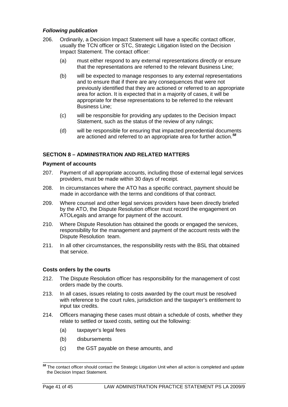#### *Following publication*

- 206. Ordinarily, a Decision Impact Statement will have a specific contact officer, usually the TCN officer or STC, Strategic Litigation listed on the Decision Impact Statement. The contact officer:
	- (a) must either respond to any external representations directly or ensure that the representations are referred to the relevant Business Line;
	- (b) will be expected to manage responses to any external representations and to ensure that if there are any consequences that were not previously identified that they are actioned or referred to an appropriate area for action. It is expected that in a majority of cases, it will be appropriate for these representations to be referred to the relevant Business Line;
	- (c) will be responsible for providing any updates to the Decision Impact Statement, such as the status of the review of any rulings;
	- (d) will be responsible for ensuring that impacted precedential documents are actioned and referred to an appropriate area for further action. *[58](#page-41-0)*

## **SECTION 8 – ADMINISTRATION AND RELATED MATTERS**

#### **Payment of accounts**

- 207. Payment of all appropriate accounts, including those of external legal services providers, must be made within 30 days of receipt.
- 208. In circumstances where the ATO has a specific contract, payment should be made in accordance with the terms and conditions of that contract.
- 209. Where counsel and other legal services providers have been directly briefed by the ATO, the Dispute Resolution officer must record the engagement on ATOLegals and arrange for payment of the account.
- 210. Where Dispute Resolution has obtained the goods or engaged the services, responsibility for the management and payment of the account rests with the Dispute Resolution team.
- 211. In all other circumstances, the responsibility rests with the BSL that obtained that service.

#### **Costs orders by the courts**

- 212. The Dispute Resolution officer has responsibility for the management of cost orders made by the courts.
- 213. In all cases, issues relating to costs awarded by the court must be resolved with reference to the court rules, jurisdiction and the taxpayer's entitlement to input tax credits.
- 214. Officers managing these cases must obtain a schedule of costs, whether they relate to settled or taxed costs, setting out the following:
	- (a) taxpayer's legal fees
	- (b) disbursements
	- (c) the GST payable on these amounts, and

<span id="page-41-0"></span>*<sup>58</sup>* The contact officer should contact the Strategic Litigation Unit when all action is completed and update the Decision Impact Statement.  $\overline{a}$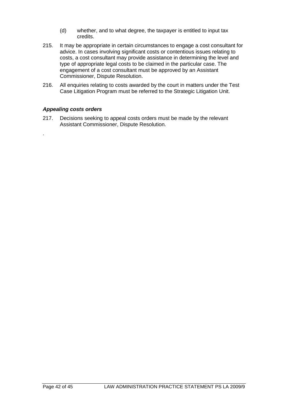- (d) whether, and to what degree, the taxpayer is entitled to input tax credits.
- 215. It may be appropriate in certain circumstances to engage a cost consultant for advice. In cases involving significant costs or contentious issues relating to costs, a cost consultant may provide assistance in determining the level and type of appropriate legal costs to be claimed in the particular case. The engagement of a cost consultant must be approved by an Assistant Commissioner, Dispute Resolution.
- 216. All enquiries relating to costs awarded by the court in matters under the Test Case Litigation Program must be referred to the Strategic Litigation Unit.

## *Appealing costs orders*

.

217. Decisions seeking to appeal costs orders must be made by the relevant Assistant Commissioner, Dispute Resolution.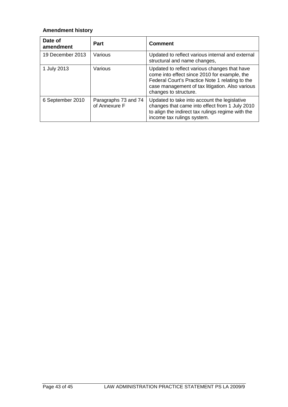## **Amendment history**

| Date of<br>amendment | <b>Part</b>                           | <b>Comment</b>                                                                                                                                                                                                              |
|----------------------|---------------------------------------|-----------------------------------------------------------------------------------------------------------------------------------------------------------------------------------------------------------------------------|
| 19 December 2013     | Various                               | Updated to reflect various internal and external<br>structural and name changes,                                                                                                                                            |
| 1 July 2013          | Various                               | Updated to reflect various changes that have<br>come into effect since 2010 for example, the<br>Federal Court's Practice Note 1 relating to the<br>case management of tax litigation. Also various<br>changes to structure. |
| 6 September 2010     | Paragraphs 73 and 74<br>of Annexure F | Updated to take into account the legislative<br>changes that came into effect from 1 July 2010<br>to align the indirect tax rulings regime with the<br>income tax rulings system.                                           |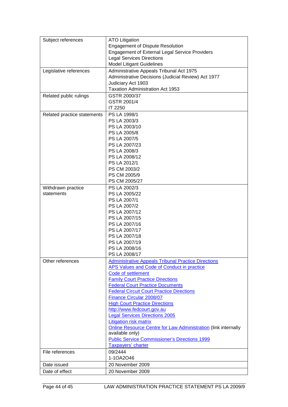| Subject references          | <b>ATO Litigation</b>                                                 |
|-----------------------------|-----------------------------------------------------------------------|
|                             | <b>Engagement of Dispute Resolution</b>                               |
|                             | <b>Engagement of External Legal Service Providers</b>                 |
|                             | <b>Legal Services Directions</b>                                      |
|                             | <b>Model Litigant Guidelines</b>                                      |
| Legislative references      | Administrative Appeals Tribunal Act 1975                              |
|                             |                                                                       |
|                             | Administrative Decisions (Judicial Review) Act 1977                   |
|                             | Judiciary Act 1903                                                    |
|                             | <b>Taxation Administration Act 1953</b>                               |
| Related public rulings      | GSTR 2000/37                                                          |
|                             | GSTR 2001/4                                                           |
|                             | IT 2250                                                               |
| Related practice statements | PS LA 1998/1                                                          |
|                             | PS LA 2003/3                                                          |
|                             | PS LA 2003/10                                                         |
|                             | PS LA 2005/8                                                          |
|                             | PS LA 2007/5                                                          |
|                             | PS LA 2007/23                                                         |
|                             | PS LA 2008/3                                                          |
|                             | PS LA 2008/12                                                         |
|                             | PS LA 2012/1                                                          |
|                             | PS CM 2003/2                                                          |
|                             | PS CM 2005/9                                                          |
|                             | PS CM 2005/27                                                         |
| Withdrawn practice          | PS LA 2002/3                                                          |
| statements                  | PS LA 2005/22                                                         |
|                             | PS LA 2007/1                                                          |
|                             | PS LA 2007/2                                                          |
|                             | PS LA 2007/12                                                         |
|                             |                                                                       |
|                             | PS LA 2007/15                                                         |
|                             | PS LA 2007/16                                                         |
|                             | PS LA 2007/17                                                         |
|                             | PS LA 2007/18                                                         |
|                             | PS LA 2007/19                                                         |
|                             | PS LA 2008/16                                                         |
|                             | PS LA 2008/17                                                         |
| Other references            | <b>Administrative Appeals Tribunal Practice Directions</b>            |
|                             | <b>APS Values and Code of Conduct in practice</b>                     |
|                             | <b>Code of settlement</b>                                             |
|                             | <b>Family Court Practice Directions</b>                               |
|                             | <b>Federal Court Practice Documents</b>                               |
|                             | <b>Federal Circuit Court Practice Directions</b>                      |
|                             | Finance Circular 2008/07                                              |
|                             | <b>High Court Practice Directions</b>                                 |
|                             | http://www.fedcourt.gov.au                                            |
|                             | <b>Legal Services Directions 2005</b>                                 |
|                             | <b>Litigation risk matrix</b>                                         |
|                             | <b>Online Resource Centre for Law Administration (link internally</b> |
|                             | available only)                                                       |
|                             | <b>Public Service Commissioner's Directions 1999</b>                  |
|                             | <b>Taxpayers' charter</b>                                             |
| File references             | 09/2444                                                               |
|                             | 1-1OA2O46                                                             |
| Date issued                 | 20 November 2009                                                      |
|                             |                                                                       |
| Date of effect              | 20 November 2009                                                      |